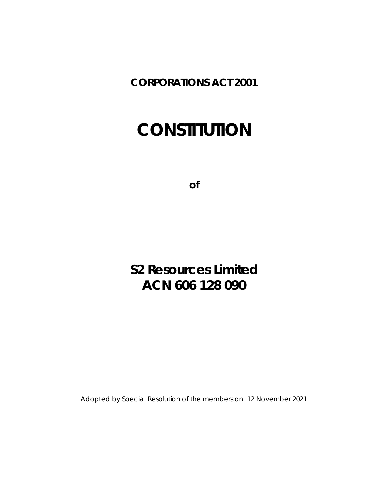**CORPORATIONS ACT 2001**

# **CONSTITUTION**

**of**

**S2 Resources Limited ACN 606 128 090**

Adopted by Special Resolution of the members on 12 November 2021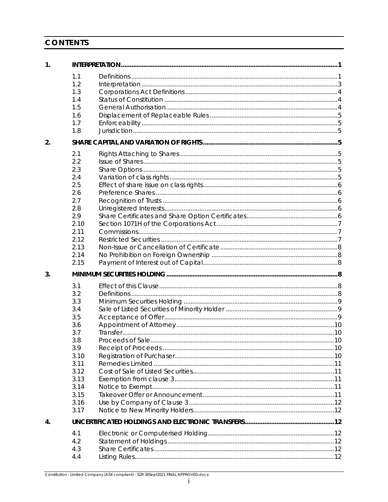## **CONTENTS**

| 1. |      |  |
|----|------|--|
|    | 1.1  |  |
|    | 1.2  |  |
|    | 1.3  |  |
|    | 1.4  |  |
|    | 1.5  |  |
|    | 1.6  |  |
|    | 1.7  |  |
|    | 1.8  |  |
| 2. |      |  |
|    | 2.1  |  |
|    | 2.2  |  |
|    | 2.3  |  |
|    | 2.4  |  |
|    | 2.5  |  |
|    | 2.6  |  |
|    | 2.7  |  |
|    | 2.8  |  |
|    | 2.9  |  |
|    | 2.10 |  |
|    | 2.11 |  |
|    | 2.12 |  |
|    | 2.13 |  |
|    | 2.14 |  |
|    | 2.15 |  |
| 3. |      |  |
|    | 3.1  |  |
|    | 3.2  |  |
|    | 3.3  |  |
|    | 3.4  |  |
|    | 3.5  |  |
|    | 3.6  |  |
|    | 3.7  |  |
|    | 3.8  |  |
|    | 3.9  |  |
|    | 3.10 |  |
|    | 3.11 |  |
|    | 3.12 |  |
|    | 3.13 |  |
|    | 3.14 |  |
|    | 3.15 |  |
|    | 3.16 |  |
|    | 3.17 |  |
|    |      |  |
| 4. |      |  |
|    | 4.1  |  |
|    | 4.2  |  |
|    | 4.3  |  |

Constitution - Limited Company (ASX compliant) - S2R 30Sept2021 FINAL APPROVED.docx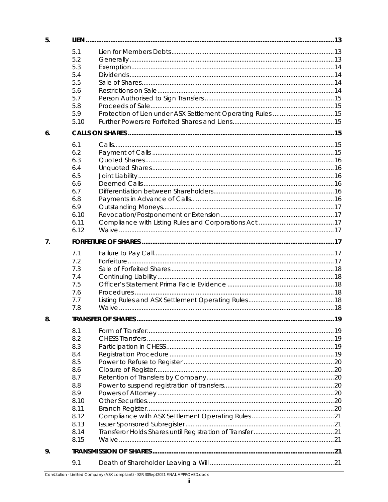| 5.             |      |                            |  |
|----------------|------|----------------------------|--|
|                | 5.1  |                            |  |
|                | 5.2  |                            |  |
|                | 5.3  |                            |  |
|                | 5.4  |                            |  |
|                | 5.5  |                            |  |
|                | 5.6  |                            |  |
|                | 5.7  |                            |  |
|                | 5.8  |                            |  |
|                | 5.9  |                            |  |
|                | 5.10 |                            |  |
| 6.             |      |                            |  |
|                | 6.1  |                            |  |
|                | 6.2  |                            |  |
|                | 6.3  |                            |  |
|                | 6.4  |                            |  |
|                | 6.5  |                            |  |
|                | 6.6  |                            |  |
|                | 6.7  |                            |  |
|                | 6.8  |                            |  |
|                | 6.9  |                            |  |
|                | 6.10 |                            |  |
|                | 6.11 |                            |  |
|                | 6.12 |                            |  |
| 7 <sub>1</sub> |      |                            |  |
|                | 7.1  |                            |  |
|                | 7.2  |                            |  |
|                | 7.3  |                            |  |
|                | 7.4  |                            |  |
|                | 7.5  |                            |  |
|                | 7.6  |                            |  |
|                | 7.7  |                            |  |
|                | 7.8  |                            |  |
| 8.             |      | <b>TRANSFER OF SHARES.</b> |  |
|                |      |                            |  |
|                | 8.1  |                            |  |
|                | 8.2  |                            |  |
|                | 8.3  |                            |  |
|                | 8.4  |                            |  |
|                | 8.5  |                            |  |
|                | 8.6  |                            |  |
|                | 8.7  |                            |  |
|                | 8.8  |                            |  |
|                | 8.9  |                            |  |
|                | 8.10 |                            |  |
|                | 8.11 |                            |  |
|                | 8.12 |                            |  |
|                | 8.13 |                            |  |
|                | 8.14 |                            |  |
|                | 8.15 |                            |  |
| 9.             |      |                            |  |
|                | 9.1  |                            |  |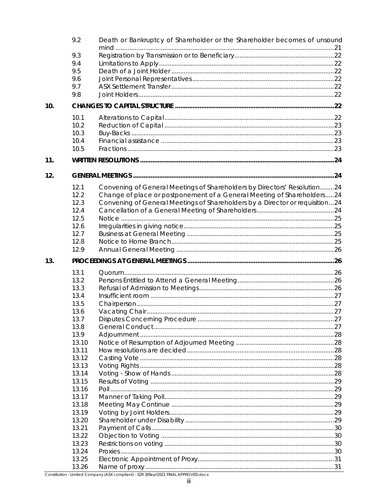|     | 9.2   | Death or Bankruptcy of Shareholder or the Shareholder becomes of unsound     |  |
|-----|-------|------------------------------------------------------------------------------|--|
|     |       |                                                                              |  |
|     | 9.3   |                                                                              |  |
|     | 9.4   |                                                                              |  |
|     | 9.5   |                                                                              |  |
|     | 9.6   |                                                                              |  |
|     | 9.7   |                                                                              |  |
|     | 9.8   |                                                                              |  |
| 10. |       |                                                                              |  |
|     | 10.1  |                                                                              |  |
|     | 10.2  |                                                                              |  |
|     | 10.3  |                                                                              |  |
|     | 10.4  |                                                                              |  |
|     | 10.5  |                                                                              |  |
| 11. |       |                                                                              |  |
| 12. |       |                                                                              |  |
|     |       |                                                                              |  |
|     | 12.1  | Convening of General Meetings of Shareholders by Directors' Resolution24     |  |
|     | 12.2  | Change of place or postponement of a General Meeting of Shareholders24       |  |
|     | 12.3  | Convening of General Meetings of Shareholders by a Director or requisition24 |  |
|     | 12.4  |                                                                              |  |
|     | 12.5  |                                                                              |  |
|     | 12.6  |                                                                              |  |
|     | 12.7  |                                                                              |  |
|     | 12.8  |                                                                              |  |
|     | 12.9  |                                                                              |  |
| 13. |       |                                                                              |  |
|     | 13.1  |                                                                              |  |
|     | 13.2  |                                                                              |  |
|     | 13.3  |                                                                              |  |
|     | 13.4  |                                                                              |  |
|     | 13.5  |                                                                              |  |
|     | 13.6  |                                                                              |  |
|     | 13.7  |                                                                              |  |
|     | 13.8  |                                                                              |  |
|     | 13.9  |                                                                              |  |
|     | 13.10 |                                                                              |  |
|     | 13.11 |                                                                              |  |
|     | 13.12 |                                                                              |  |
|     | 13.13 |                                                                              |  |
|     | 13.14 |                                                                              |  |
|     | 13.15 |                                                                              |  |
|     | 13.16 |                                                                              |  |
|     | 13.17 |                                                                              |  |
|     | 13.18 |                                                                              |  |
|     | 13.19 |                                                                              |  |
|     | 13.20 |                                                                              |  |
|     | 13.21 |                                                                              |  |
|     | 13.22 |                                                                              |  |
|     | 13.23 |                                                                              |  |
|     | 13.24 |                                                                              |  |
|     | 13.25 |                                                                              |  |
|     |       |                                                                              |  |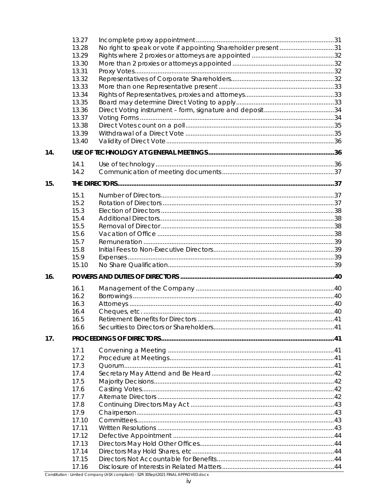|     | 13.27        |                                                                |  |
|-----|--------------|----------------------------------------------------------------|--|
|     | 13.28        | No right to speak or vote if appointing Shareholder present 31 |  |
|     | 13.29        |                                                                |  |
|     | 13.30        |                                                                |  |
|     | 13.31        |                                                                |  |
|     | 13.32        |                                                                |  |
|     | 13.33        |                                                                |  |
|     | 13.34        |                                                                |  |
|     | 13.35        |                                                                |  |
|     | 13.36        |                                                                |  |
|     | 13.37        |                                                                |  |
|     | 13.38        |                                                                |  |
|     | 13.39        |                                                                |  |
|     | 13.40        |                                                                |  |
| 14. |              |                                                                |  |
|     | 14.1         |                                                                |  |
|     | 14.2         |                                                                |  |
|     |              |                                                                |  |
| 15. |              |                                                                |  |
|     | 15.1         |                                                                |  |
|     | 15.2         |                                                                |  |
|     | 15.3         |                                                                |  |
|     | 15.4         |                                                                |  |
|     | 15.5         |                                                                |  |
|     | 15.6         |                                                                |  |
|     | 15.7         |                                                                |  |
|     | 15.8         |                                                                |  |
|     |              |                                                                |  |
|     | 15.9         |                                                                |  |
|     | 15.10        |                                                                |  |
| 16. |              |                                                                |  |
|     | 16.1         |                                                                |  |
|     | 16.2         |                                                                |  |
|     | 16.3         |                                                                |  |
|     | 16.4         |                                                                |  |
|     | 16.5         |                                                                |  |
|     | 16.6         |                                                                |  |
| 17. |              |                                                                |  |
|     |              |                                                                |  |
|     | 17.1         |                                                                |  |
|     | 17.2<br>17.3 |                                                                |  |
|     | 17.4         |                                                                |  |
|     |              |                                                                |  |
|     | 17.5         |                                                                |  |
|     | 17.6<br>17.7 |                                                                |  |
|     | 17.8         |                                                                |  |
|     | 17.9         |                                                                |  |
|     | 17.10        |                                                                |  |
|     | 17.11        |                                                                |  |
|     | 17.12        |                                                                |  |
|     | 17.13        |                                                                |  |
|     | 17.14        |                                                                |  |
|     | 17.15        |                                                                |  |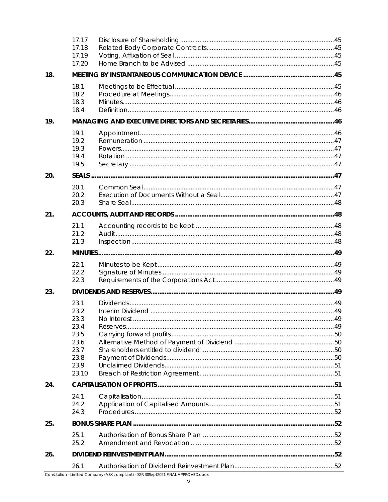|     | 17.17<br>17.18<br>17.19<br>17.20                                              |             |  |
|-----|-------------------------------------------------------------------------------|-------------|--|
| 18. |                                                                               |             |  |
|     | 18.1<br>18.2<br>18.3<br>18.4                                                  |             |  |
| 19. |                                                                               |             |  |
|     | 19.1<br>19.2<br>19.3<br>19.4<br>19.5                                          |             |  |
| 20. |                                                                               |             |  |
|     | 20.1<br>20.2<br>20.3                                                          |             |  |
| 21. |                                                                               |             |  |
|     | 21.1<br>21.2<br>21.3                                                          |             |  |
| 22. |                                                                               |             |  |
|     | 22.1<br>22.2<br>22.3                                                          |             |  |
| 23. |                                                                               |             |  |
|     | 23.1<br>23.2<br>23.3<br>23.4<br>23.5<br>23.6<br>23.7<br>23.8<br>23.9<br>23.10 | No Interest |  |
| 24. |                                                                               |             |  |
|     | 24.1<br>24.2<br>24.3                                                          |             |  |
| 25. |                                                                               |             |  |
|     | 25.1<br>25.2                                                                  |             |  |
| 26. |                                                                               |             |  |
|     | 26.1                                                                          |             |  |

#### Constitution - Limited Company (ASX compliant) - S2R 30Sept2021 FINAL APPROVED.docx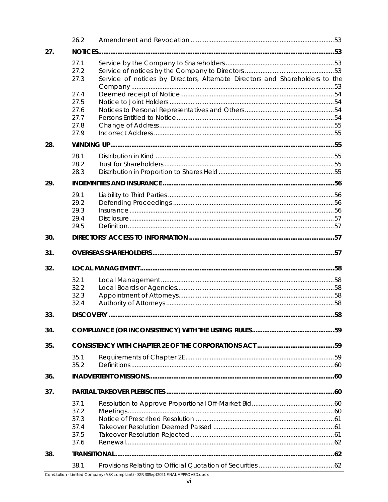|     | 26.2                                         |                                                                              |  |
|-----|----------------------------------------------|------------------------------------------------------------------------------|--|
| 27. |                                              |                                                                              |  |
|     | 27.1<br>27.2<br>27.3                         | Service of notices by Directors, Alternate Directors and Shareholders to the |  |
|     | 27.4<br>27.5<br>27.6<br>27.7<br>27.8<br>27.9 |                                                                              |  |
| 28. |                                              |                                                                              |  |
|     | 28.1<br>28.2<br>28.3                         |                                                                              |  |
| 29. |                                              |                                                                              |  |
|     | 29.1<br>29.2<br>29.3<br>29.4<br>29.5         |                                                                              |  |
| 30. |                                              |                                                                              |  |
| 31. |                                              |                                                                              |  |
|     |                                              |                                                                              |  |
| 32. | 32.1<br>32.2<br>32.3<br>32.4                 |                                                                              |  |
| 33. |                                              |                                                                              |  |
| 34. |                                              |                                                                              |  |
| 35. |                                              |                                                                              |  |
|     | 35.1<br>35.2                                 |                                                                              |  |
| 36. |                                              |                                                                              |  |
| 37. |                                              |                                                                              |  |
|     | 37.1<br>37.2<br>37.3<br>37.4<br>37.5<br>37.6 |                                                                              |  |
| 38. |                                              |                                                                              |  |
|     | 38.1                                         |                                                                              |  |

Constitution - Limited Company (ASX compliant) - S2R 30Sept2021 FINAL APPROVED.docx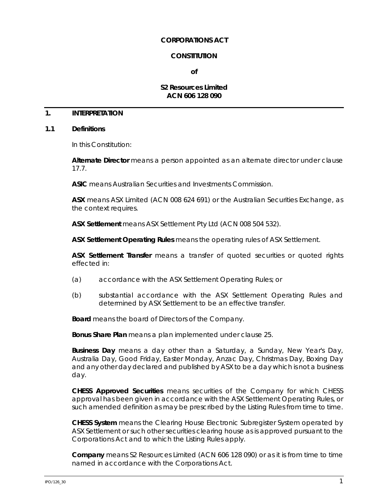#### **CORPORATIONS ACT**

#### **CONSTITUTION**

**of**

## **S2 Resources Limited ACN 606 128 090**

## **1. INTERPRETATION**

#### <span id="page-8-0"></span>**1.1 Definitions**

In this Constitution:

**Alternate Director** means a person appointed as an alternate director under clause [17.7.](#page-49-0)

**ASIC** means Australian Securities and Investments Commission.

**ASX** means ASX Limited (ACN 008 624 691) or the Australian Securities Exchange, as the context requires.

**ASX Settlement** means ASX Settlement Pty Ltd (ACN 008 504 532).

**ASX Settlement Operating Rules** means the operating rules of ASX Settlement.

**ASX Settlement Transfer** means a transfer of quoted securities or quoted rights effected in:

- (a) accordance with the ASX Settlement Operating Rules; or
- (b) substantial accordance with the ASX Settlement Operating Rules and determined by ASX Settlement to be an effective transfer.

**Board** means the board of Directors of the Company.

**Bonus Share Plan** means a plan implemented under clause [25.](#page-59-0)

**Business Day** means a day other than a Saturday, a Sunday, New Year's Day, Australia Day, Good Friday, Easter Monday, Anzac Day, Christmas Day, Boxing Day and any other day declared and published by ASX to be a day which is not a business day.

**CHESS Approved Securities** means securities of the Company for which CHESS approval has been given in accordance with the ASX Settlement Operating Rules, or such amended definition as may be prescribed by the Listing Rules from time to time.

**CHESS System** means the Clearing House Electronic Subregister System operated by ASX Settlement or such other securities clearing house as is approved pursuant to the Corporations Act and to which the Listing Rules apply.

**Company** means S2 Resources Limited (ACN 606 128 090) or as it is from time to time named in accordance with the Corporations Act.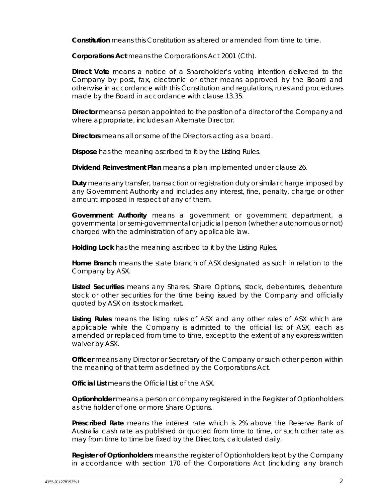**Constitution** means this Constitution as altered or amended from time to time.

**Corporations Act** means the *Corporations Act 2001* (Cth).

**Direct Vote** means a notice of a Shareholder's voting intention delivered to the Company by post, fax, electronic or other means approved by the Board and otherwise in accordance with this Constitution and regulations, rules and procedures made by the Board in accordance with clause [13.35.](#page-40-0)

**Director** means a person appointed to the position of a director of the Company and where appropriate, includes an Alternate Director.

**Directors** means all or some of the Directors acting as a board.

**Dispose** has the meaning ascribed to it by the Listing Rules.

**Dividend Reinvestment Plan** means a plan implemented under clause [26.](#page-59-1)

**Duty** means any transfer, transaction or registration duty or similar charge imposed by any Government Authority and includes any interest, fine, penalty, charge or other amount imposed in respect of any of them.

**Government Authority** means a government or government department, a governmental or semi-governmental or judicial person (whether autonomous or not) charged with the administration of any applicable law.

**Holding Lock** has the meaning ascribed to it by the Listing Rules.

**Home Branch** means the state branch of ASX designated as such in relation to the Company by ASX.

**Listed Securities** means any Shares, Share Options, stock, debentures, debenture stock or other securities for the time being issued by the Company and officially quoted by ASX on its stock market.

**Listing Rules** means the listing rules of ASX and any other rules of ASX which are applicable while the Company is admitted to the official list of ASX, each as amended or replaced from time to time, except to the extent of any express written waiver by ASX.

**Officer** means any Director or Secretary of the Company or such other person within the meaning of that term as defined by the Corporations Act.

**Official List** means the Official List of the ASX.

**Optionholder** means a person or company registered in the Register of Optionholders as the holder of one or more Share Options.

**Prescribed Rate** means the interest rate which is 2% above the Reserve Bank of Australia cash rate as published or quoted from time to time, or such other rate as may from time to time be fixed by the Directors, calculated daily.

**Register of Optionholders** means the register of Optionholders kept by the Company in accordance with section 170 of the Corporations Act (including any branch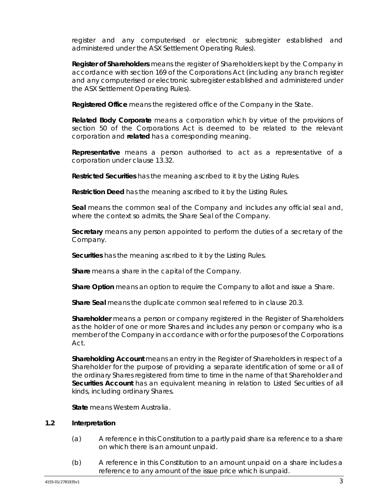register and any computerised or electronic subregister established and administered under the ASX Settlement Operating Rules).

**Register of Shareholders** means the register of Shareholders kept by the Company in accordance with section 169 of the Corporations Act (including any branch register and any computerised or electronic subregister established and administered under the ASX Settlement Operating Rules).

**Registered Office** means the registered office of the Company in the State.

**Related Body Corporate** means a corporation which by virtue of the provisions of section 50 of the Corporations Act is deemed to be related to the relevant corporation and **related** has a corresponding meaning.

**Representative** means a person authorised to act as a representative of a corporation under clause [13.32.](#page-39-0)

**Restricted Securities** has the meaning ascribed to it by the Listing Rules.

**Restriction Deed** has the meaning ascribed to it by the Listing Rules.

**Seal** means the common seal of the Company and includes any official seal and, where the context so admits, the Share Seal of the Company.

**Secretary** means any person appointed to perform the duties of a secretary of the Company.

**Securities** has the meaning ascribed to it by the Listing Rules.

**Share** means a share in the capital of the Company.

**Share Option** means an option to require the Company to allot and issue a Share.

**Share Seal** means the duplicate common seal referred to in clause [20.3.](#page-55-0)

**Shareholder** means a person or company registered in the Register of Shareholders as the holder of one or more Shares and includes any person or company who is a member of the Company in accordance with or for the purposes of the Corporations Act.

**Shareholding Account** means an entry in the Register of Shareholders in respect of a Shareholder for the purpose of providing a separate identification of some or all of the ordinary Shares registered from time to time in the name of that Shareholder and **Securities Account** has an equivalent meaning in relation to Listed Securities of all kinds, including ordinary Shares.

**State** means Western Australia.

## **1.2 Interpretation**

- (a) A reference in this Constitution to a partly paid share is a reference to a share on which there is an amount unpaid.
- (b) A reference in this Constitution to an amount unpaid on a share includes a reference to any amount of the issue price which is unpaid.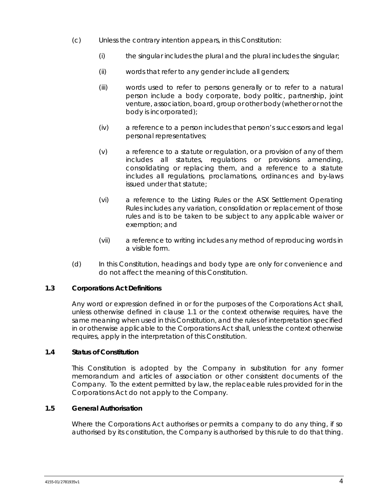- (c) Unless the contrary intention appears, in this Constitution:
	- (i) the singular includes the plural and the plural includes the singular;
	- (ii) words that refer to any gender include all genders;
	- (iii) words used to refer to persons generally or to refer to a natural person include a body corporate, body politic, partnership, joint venture, association, board, group or other body (whether or not the body is incorporated);
	- (iv) a reference to a person includes that person's successors and legal personal representatives;
	- (v) a reference to a statute or regulation, or a provision of any of them includes all statutes, regulations or provisions amending, consolidating or replacing them, and a reference to a statute includes all regulations, proclamations, ordinances and by-laws issued under that statute;
	- (vi) a reference to the Listing Rules or the ASX Settlement Operating Rules includes any variation, consolidation or replacement of those rules and is to be taken to be subject to any applicable waiver or exemption; and
	- (vii) a reference to writing includes any method of reproducing words in a visible form.
- (d) In this Constitution, headings and body type are only for convenience and do not affect the meaning of this Constitution.

## **1.3 Corporations Act Definitions**

Any word or expression defined in or for the purposes of the Corporations Act shall, unless otherwise defined in clause [1.1](#page-8-0) or the context otherwise requires, have the same meaning when used in this Constitution, and the rules of interpretation specified in or otherwise applicable to the Corporations Act shall, unless the context otherwise requires, apply in the interpretation of this Constitution.

## **1.4 Status of Constitution**

This Constitution is adopted by the Company in substitution for any former memorandum and articles of association or other consistent documents of the Company. To the extent permitted by law, the replaceable rules provided for in the Corporations Act do not apply to the Company.

## **1.5 General Authorisation**

Where the Corporations Act authorises or permits a company to do any thing, if so authorised by its constitution, the Company is authorised by this rule to do that thing.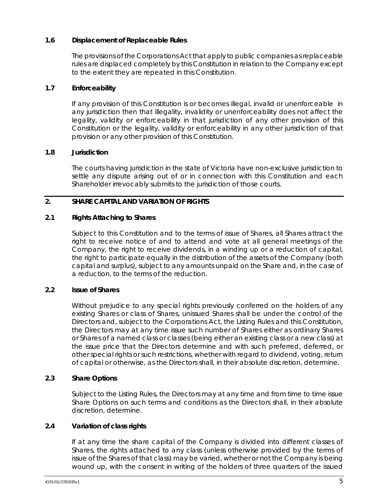## **1.6 Displacement of Replaceable Rules**

The provisions of the Corporations Act that apply to public companies as replaceable rules are displaced completely by this Constitution in relation to the Company except to the extent they are repeated in this Constitution.

## **1.7 Enforceability**

If any provision of this Constitution is or becomes illegal, invalid or unenforceable in any jurisdiction then that illegality, invalidity or unenforceability does not affect the legality, validity or enforceability in that jurisdiction of any other provision of this Constitution or the legality, validity or enforceability in any other jurisdiction of that provision or any other provision of this Constitution.

## **1.8 Jurisdiction**

The courts having jurisdiction in the state of Victoria have non-exclusive jurisdiction to settle any dispute arising out of or in connection with this Constitution and each Shareholder irrevocably submits to the jurisdiction of those courts.

## <span id="page-12-1"></span>**2. SHARE CAPITAL AND VARIATION OF RIGHTS**

## **2.1 Rights Attaching to Shares**

Subject to this Constitution and to the terms of issue of Shares, all Shares attract the right to receive notice of and to attend and vote at all general meetings of the Company, the right to receive dividends, in a winding up or a reduction of capital, the right to participate equally in the distribution of the assets of the Company (both capital and surplus), subject to any amounts unpaid on the Share and, in the case of a reduction, to the terms of the reduction.

#### **2.2 Issue of Shares**

Without prejudice to any special rights previously conferred on the holders of any existing Shares or class of Shares, unissued Shares shall be under the control of the Directors and, subject to the Corporations Act, the Listing Rules and this Constitution, the Directors may at any time issue such number of Shares either as ordinary Shares or Shares of a named class or classes (being either an existing class or a new class) at the issue price that the Directors determine and with such preferred, deferred, or other special rights or such restrictions, whether with regard to dividend, voting, return of capital or otherwise, as the Directors shall, in their absolute discretion, determine.

## **2.3 Share Options**

Subject to the Listing Rules, the Directors may at any time and from time to time issue Share Options on such terms and conditions as the Directors shall, in their absolute discretion, determine.

## <span id="page-12-0"></span>**2.4 Variation of class rights**

If at any time the share capital of the Company is divided into different classes of Shares, the rights attached to any class (unless otherwise provided by the terms of issue of the Shares of that class) may be varied, whether or not the Company is being wound up, with the consent in writing of the holders of three quarters of the issued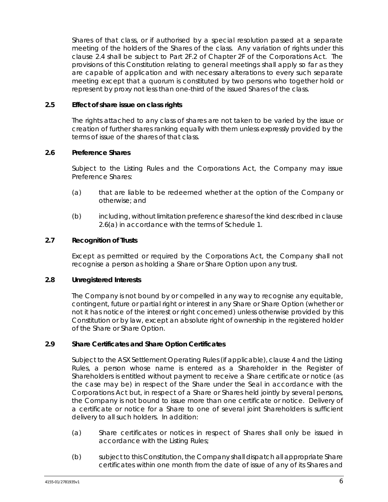Shares of that class, or if authorised by a special resolution passed at a separate meeting of the holders of the Shares of the class. Any variation of rights under this clause [2.4](#page-12-0) shall be subject to Part 2F.2 of Chapter 2F of the Corporations Act. The provisions of this Constitution relating to general meetings shall apply so far as they are capable of application and with necessary alterations to every such separate meeting except that a quorum is constituted by two persons who together hold or represent by proxy not less than one-third of the issued Shares of the class.

## **2.5 Effect of share issue on class rights**

The rights attached to any class of shares are not taken to be varied by the issue or creation of further shares ranking equally with them unless expressly provided by the terms of issue of the shares of that class.

## **2.6 Preference Shares**

Subject to the Listing Rules and the Corporations Act, the Company may issue Preference Shares:

- <span id="page-13-0"></span>(a) that are liable to be redeemed whether at the option of the Company or otherwise; and
- (b) including, without limitation preference shares of the kind described in clause [2.6\(a\)](#page-13-0) in accordance with the terms of [Schedule](#page-70-0) 1.

## **2.7 Recognition of Trusts**

Except as permitted or required by the Corporations Act, the Company shall not recognise a person as holding a Share or Share Option upon any trust.

#### **2.8 Unregistered Interests**

The Company is not bound by or compelled in any way to recognise any equitable, contingent, future or partial right or interest in any Share or Share Option (whether or not it has notice of the interest or right concerned) unless otherwise provided by this Constitution or by law, except an absolute right of ownership in the registered holder of the Share or Share Option.

#### <span id="page-13-1"></span>**2.9 Share Certificates and Share Option Certificates**

Subject to the ASX Settlement Operating Rules (if applicable), claus[e 4](#page-19-0) and the Listing Rules, a person whose name is entered as a Shareholder in the Register of Shareholders is entitled without payment to receive a Share certificate or notice (as the case may be) in respect of the Share under the Seal in accordance with the Corporations Act but, in respect of a Share or Shares held jointly by several persons, the Company is not bound to issue more than one certificate or notice. Delivery of a certificate or notice for a Share to one of several joint Shareholders is sufficient delivery to all such holders. In addition:

- (a) Share certificates or notices in respect of Shares shall only be issued in accordance with the Listing Rules;
- (b) subject to this Constitution, the Company shall dispatch all appropriate Share certificates within one month from the date of issue of any of its Shares and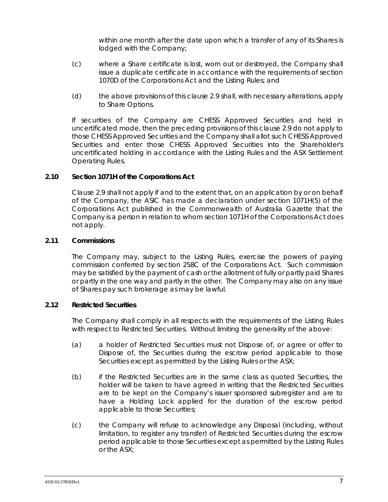within one month after the date upon which a transfer of any of its Shares is lodged with the Company;

- (c) where a Share certificate is lost, worn out or destroyed, the Company shall issue a duplicate certificate in accordance with the requirements of section 1070D of the Corporations Act and the Listing Rules; and
- (d) the above provisions of this clause [2.9](#page-13-1) shall, with necessary alterations, apply to Share Options.

If securities of the Company are CHESS Approved Securities and held in uncertificated mode, then the preceding provisions of this clause [2.9](#page-13-1) do not apply to those CHESS Approved Securities and the Company shall allot such CHESS Approved Securities and enter those CHESS Approved Securities into the Shareholder's uncertificated holding in accordance with the Listing Rules and the ASX Settlement Operating Rules.

## **2.10 Section 1071H of the Corporations Act**

Clause [2.9](#page-13-1) shall not apply if and to the extent that, on an application by or on behalf of the Company, the ASIC has made a declaration under section 1071H(5) of the Corporations Act published in the Commonwealth of Australia Gazette that the Company is a person in relation to whom section 1071H of the Corporations Act does not apply.

## **2.11 Commissions**

The Company may, subject to the Listing Rules, exercise the powers of paying commission conferred by section 258C of the Corporations Act. Such commission may be satisfied by the payment of cash or the allotment of fully or partly paid Shares or partly in the one way and partly in the other. The Company may also on any issue of Shares pay such brokerage as may be lawful.

## **2.12 Restricted Securities**

The Company shall comply in all respects with the requirements of the Listing Rules with respect to Restricted Securities. Without limiting the generality of the above:

- (a) a holder of Restricted Securities must not Dispose of, or agree or offer to Dispose of, the Securities during the escrow period applicable to those Securities except as permitted by the Listing Rules or the ASX;
- (b) if the Restricted Securities are in the same class as quoted Securities, the holder will be taken to have agreed in writing that the Restricted Securities are to be kept on the Company's issuer sponsored subregister and are to have a Holding Lock applied for the duration of the escrow period applicable to those Securities;
- (c) the Company will refuse to acknowledge any Disposal (including, without limitation, to register any transfer) of Restricted Securities during the escrow period applicable to those Securities except as permitted by the Listing Rules or the ASX;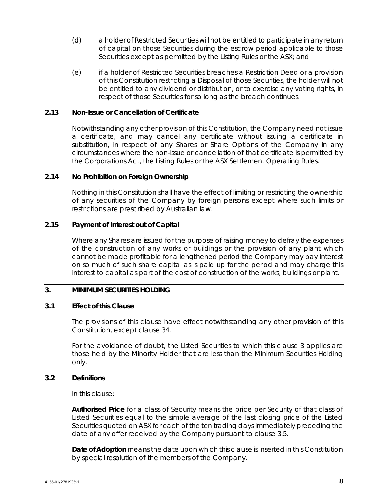- (d) a holder of Restricted Securities will not be entitled to participate in any return of capital on those Securities during the escrow period applicable to those Securities except as permitted by the Listing Rules or the ASX; and
- (e) if a holder of Restricted Securities breaches a Restriction Deed or a provision of this Constitution restricting a Disposal of those Securities, the holder will not be entitled to any dividend or distribution, or to exercise any voting rights, in respect of those Securities for so long as the breach continues.

#### **2.13 Non-Issue or Cancellation of Certificate**

Notwithstanding any other provision of this Constitution, the Company need not issue a certificate, and may cancel any certificate without issuing a certificate in substitution, in respect of any Shares or Share Options of the Company in any circumstances where the non-issue or cancellation of that certificate is permitted by the Corporations Act, the Listing Rules or the ASX Settlement Operating Rules.

#### **2.14 No Prohibition on Foreign Ownership**

Nothing in this Constitution shall have the effect of limiting or restricting the ownership of any securities of the Company by foreign persons except where such limits or restrictions are prescribed by Australian law.

## **2.15 Payment of Interest out of Capital**

Where any Shares are issued for the purpose of raising money to defray the expenses of the construction of any works or buildings or the provision of any plant which cannot be made profitable for a lengthened period the Company may pay interest on so much of such share capital as is paid up for the period and may charge this interest to capital as part of the cost of construction of the works, buildings or plant.

## <span id="page-15-0"></span>**3. MINIMUM SECURITIES HOLDING**

#### **3.1 Effect of this Clause**

The provisions of this clause have effect notwithstanding any other provision of this Constitution, except clause [34.](#page-66-0)

For the avoidance of doubt, the Listed Securities to which this clause [3](#page-15-0) applies are those held by the Minority Holder that are less than the Minimum Securities Holding only.

## **3.2 Definitions**

In this clause:

**Authorised Price** for a class of Security means the price per Security of that class of Listed Securities equal to the simple average of the last closing price of the Listed Securities quoted on ASX for each of the ten trading days immediately preceding the date of any offer received by the Company pursuant to clause 3.5.

**Date of Adoption** means the date upon which this clause is inserted in this Constitution by special resolution of the members of the Company.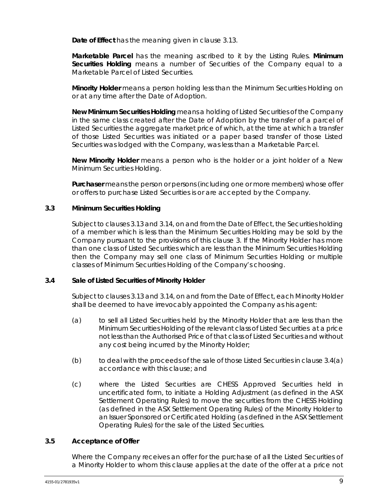**Date of Effect** has the meaning given in clause [3.13.](#page-18-0)

**Marketable Parcel** has the meaning ascribed to it by the Listing Rules. **Minimum Securities Holding** means a number of Securities of the Company equal to a Marketable Parcel of Listed Securities.

**Minority Holder** means a person holding less than the Minimum Securities Holding on or at any time after the Date of Adoption.

**New Minimum Securities Holding** means a holding of Listed Securities of the Company in the same class created after the Date of Adoption by the transfer of a parcel of Listed Securities the aggregate market price of which, at the time at which a transfer of those Listed Securities was initiated or a paper based transfer of those Listed Securities was lodged with the Company, was less than a Marketable Parcel.

**New Minority Holder** means a person who is the holder or a joint holder of a New Minimum Securities Holding.

**Purchaser** means the person or persons (including one or more members) whose offer or offers to purchase Listed Securities is or are accepted by the Company.

## **3.3 Minimum Securities Holding**

Subject to clauses [3.13](#page-18-0) and [3.14,](#page-18-1) on and from the Date of Effect, the Securities holding of a member which is less than the Minimum Securities Holding may be sold by the Company pursuant to the provisions of this clause [3.](#page-15-0) If the Minority Holder has more than one class of Listed Securities which are less than the Minimum Securities Holding then the Company may sell one class of Minimum Securities Holding or multiple classes of Minimum Securities Holding of the Company's choosing.

## **3.4 Sale of Listed Securities of Minority Holder**

Subject to clause[s 3.13](#page-18-0) and [3.14,](#page-18-1) on and from the Date of Effect, each Minority Holder shall be deemed to have irrevocably appointed the Company as his agent:

- <span id="page-16-0"></span>(a) to sell all Listed Securities held by the Minority Holder that are less than the Minimum Securities Holding of the relevant class of Listed Securities at a price not less than the Authorised Price of that class of Listed Securities and without any cost being incurred by the Minority Holder;
- (b) to deal with the proceeds of the sale of those Listed Securities in clause  $3.4(a)$ accordance with this clause; and
- (c) where the Listed Securities are CHESS Approved Securities held in uncertificated form, to initiate a Holding Adjustment (as defined in the ASX Settlement Operating Rules) to move the securities from the CHESS Holding (as defined in the ASX Settlement Operating Rules) of the Minority Holder to an Issuer Sponsored or Certificated Holding (as defined in the ASX Settlement Operating Rules) for the sale of the Listed Securities.

## **3.5 Acceptance of Offer**

Where the Company receives an offer for the purchase of all the Listed Securities of a Minority Holder to whom this clause applies at the date of the offer at a price not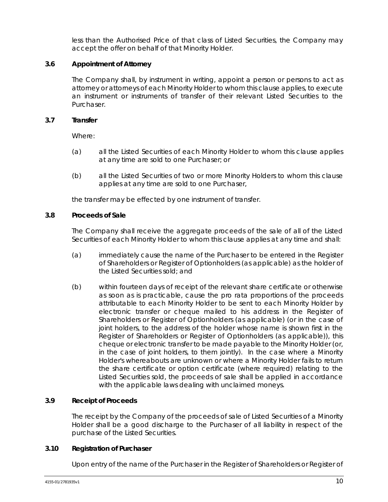less than the Authorised Price of that class of Listed Securities, the Company may accept the offer on behalf of that Minority Holder.

## **3.6 Appointment of Attorney**

The Company shall, by instrument in writing, appoint a person or persons to act as attorney or attorneys of each Minority Holder to whom this clause applies, to execute an instrument or instruments of transfer of their relevant Listed Securities to the Purchaser.

## **3.7 Transfer**

Where:

- (a) all the Listed Securities of each Minority Holder to whom this clause applies at any time are sold to one Purchaser; or
- (b) all the Listed Securities of two or more Minority Holders to whom this clause applies at any time are sold to one Purchaser,

the transfer may be effected by one instrument of transfer.

## <span id="page-17-0"></span>**3.8 Proceeds of Sale**

The Company shall receive the aggregate proceeds of the sale of all of the Listed Securities of each Minority Holder to whom this clause applies at any time and shall:

- (a) immediately cause the name of the Purchaser to be entered in the Register of Shareholders or Register of Optionholders (as applicable) as the holder of the Listed Securities sold; and
- (b) within fourteen days of receipt of the relevant share certificate or otherwise as soon as is practicable, cause the pro rata proportions of the proceeds attributable to each Minority Holder to be sent to each Minority Holder by electronic transfer or cheque mailed to his address in the Register of Shareholders or Register of Optionholders (as applicable) (or in the case of joint holders, to the address of the holder whose name is shown first in the Register of Shareholders or Register of Optionholders (as applicable)), this cheque or electronic transfer to be made payable to the Minority Holder (or, in the case of joint holders, to them jointly). In the case where a Minority Holder's whereabouts are unknown or where a Minority Holder fails to return the share certificate or option certificate (where required) relating to the Listed Securities sold, the proceeds of sale shall be applied in accordance with the applicable laws dealing with unclaimed moneys.

## **3.9 Receipt of Proceeds**

The receipt by the Company of the proceeds of sale of Listed Securities of a Minority Holder shall be a good discharge to the Purchaser of all liability in respect of the purchase of the Listed Securities.

#### **3.10 Registration of Purchaser**

Upon entry of the name of the Purchaser in the Register of Shareholders or Register of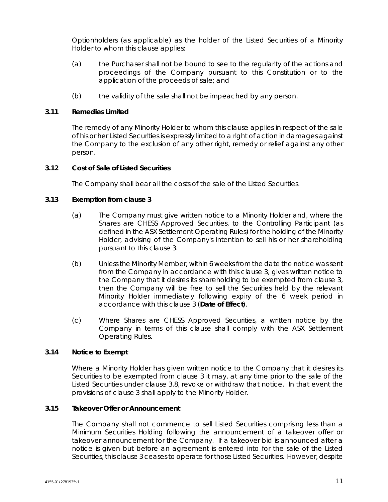Optionholders (as applicable) as the holder of the Listed Securities of a Minority Holder to whom this clause applies:

- (a) the Purchaser shall not be bound to see to the regularity of the actions and proceedings of the Company pursuant to this Constitution or to the application of the proceeds of sale; and
- (b) the validity of the sale shall not be impeached by any person.

## **3.11 Remedies Limited**

The remedy of any Minority Holder to whom this clause applies in respect of the sale of his or her Listed Securities is expressly limited to a right of action in damages against the Company to the exclusion of any other right, remedy or relief against any other person.

## **3.12 Cost of Sale of Listed Securities**

The Company shall bear all the costs of the sale of the Listed Securities.

## <span id="page-18-0"></span>**3.13 Exemption from clause [3](#page-15-0)**

- (a) The Company must give written notice to a Minority Holder and, where the Shares are CHESS Approved Securities, to the Controlling Participant (as defined in the ASX Settlement Operating Rules) for the holding of the Minority Holder, advising of the Company's intention to sell his or her shareholding pursuant to this clause [3.](#page-15-0)
- (b) Unless the Minority Member, within 6 weeks from the date the notice was sent from the Company in accordance with this clause [3,](#page-15-0) gives written notice to the Company that it desires its shareholding to be exempted from clause [3,](#page-15-0) then the Company will be free to sell the Securities held by the relevant Minority Holder immediately following expiry of the 6 week period in accordance with this clause [3](#page-15-0) (**Date of Effect**).
- (c) Where Shares are CHESS Approved Securities, a written notice by the Company in terms of this clause shall comply with the ASX Settlement Operating Rules.

## <span id="page-18-1"></span>**3.14 Notice to Exempt**

Where a Minority Holder has given written notice to the Company that it desires its Securities to be exempted from clause [3](#page-15-0) it may, at any time prior to the sale of the Listed Securities under clause [3.8,](#page-17-0) revoke or withdraw that notice. In that event the provisions of clause [3](#page-15-0) shall apply to the Minority Holder.

## <span id="page-18-2"></span>**3.15 Takeover Offer or Announcement**

The Company shall not commence to sell Listed Securities comprising less than a Minimum Securities Holding following the announcement of a takeover offer or takeover announcement for the Company. If a takeover bid is announced after a notice is given but before an agreement is entered into for the sale of the Listed Securities, this claus[e 3](#page-15-0) ceases to operate for those Listed Securities. However, despite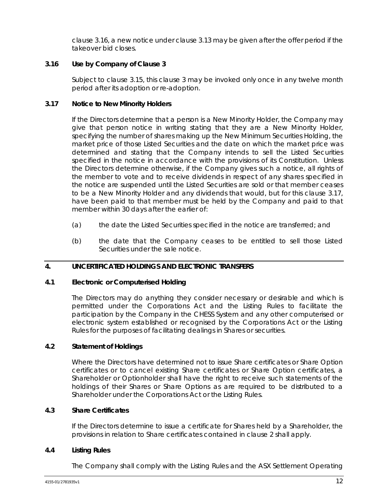claus[e 3.16,](#page-19-1) a new notice under clause [3.13](#page-18-0) may be given after the offer period if the takeover bid closes.

## <span id="page-19-1"></span>**3.16 Use by Company of Clause [3](#page-15-0)**

Subject to clause [3.15,](#page-18-2) this clause [3](#page-15-0) may be invoked only once in any twelve month period after its adoption or re-adoption.

## <span id="page-19-2"></span>**3.17 Notice to New Minority Holders**

If the Directors determine that a person is a New Minority Holder, the Company may give that person notice in writing stating that they are a New Minority Holder, specifying the number of shares making up the New Minimum Securities Holding, the market price of those Listed Securities and the date on which the market price was determined and stating that the Company intends to sell the Listed Securities specified in the notice in accordance with the provisions of its Constitution. Unless the Directors determine otherwise, if the Company gives such a notice, all rights of the member to vote and to receive dividends in respect of any shares specified in the notice are suspended until the Listed Securities are sold or that member ceases to be a New Minority Holder and any dividends that would, but for this clause [3.17,](#page-19-2) have been paid to that member must be held by the Company and paid to that member within 30 days after the earlier of:

- (a) the date the Listed Securities specified in the notice are transferred; and
- (b) the date that the Company ceases to be entitled to sell those Listed Securities under the sale notice.

## <span id="page-19-0"></span>**4. UNCERTIFICATED HOLDINGS AND ELECTRONIC TRANSFERS**

## **4.1 Electronic or Computerised Holding**

The Directors may do anything they consider necessary or desirable and which is permitted under the Corporations Act and the Listing Rules to facilitate the participation by the Company in the CHESS System and any other computerised or electronic system established or recognised by the Corporations Act or the Listing Rules for the purposes of facilitating dealings in Shares or securities.

## **4.2 Statement of Holdings**

Where the Directors have determined not to issue Share certificates or Share Option certificates or to cancel existing Share certificates or Share Option certificates, a Shareholder or Optionholder shall have the right to receive such statements of the holdings of their Shares or Share Options as are required to be distributed to a Shareholder under the Corporations Act or the Listing Rules.

## **4.3 Share Certificates**

If the Directors determine to issue a certificate for Shares held by a Shareholder, the provisions in relation to Share certificates contained in clause [2](#page-12-1) shall apply.

## **4.4 Listing Rules**

The Company shall comply with the Listing Rules and the ASX Settlement Operating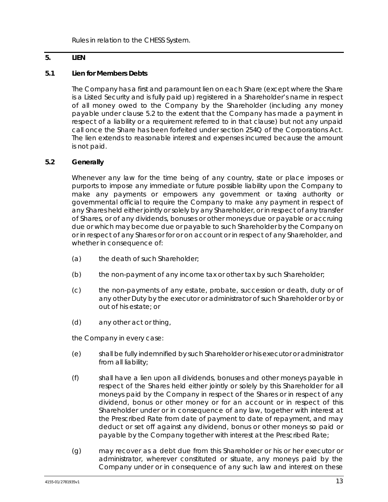Rules in relation to the CHESS System.

## <span id="page-20-1"></span>**5. LIEN**

## **5.1 Lien for Members Debts**

The Company has a first and paramount lien on each Share (except where the Share is a Listed Security and is fully paid up) registered in a Shareholder's name in respect of all money owed to the Company by the Shareholder (including any money payable under clause [5.2](#page-20-0) to the extent that the Company has made a payment in respect of a liability or a requirement referred to in that clause) but not any unpaid call once the Share has been forfeited under section 254Q of the Corporations Act. The lien extends to reasonable interest and expenses incurred because the amount is not paid.

#### <span id="page-20-0"></span>**5.2 Generally**

Whenever any law for the time being of any country, state or place imposes or purports to impose any immediate or future possible liability upon the Company to make any payments or empowers any government or taxing authority or governmental official to require the Company to make any payment in respect of any Shares held either jointly or solely by any Shareholder, or in respect of any transfer of Shares, or of any dividends, bonuses or other moneys due or payable or accruing due or which may become due or payable to such Shareholder by the Company on or in respect of any Shares or for or on account or in respect of any Shareholder, and whether in consequence of:

- (a) the death of such Shareholder;
- (b) the non-payment of any income tax or other tax by such Shareholder;
- (c) the non-payments of any estate, probate, succession or death, duty or of any other Duty by the executor or administrator of such Shareholder or by or out of his estate; or
- (d) any other act or thing,

the Company in every case:

- (e) shall be fully indemnified by such Shareholder or his executor or administrator from all liability;
- (f) shall have a lien upon all dividends, bonuses and other moneys payable in respect of the Shares held either jointly or solely by this Shareholder for all moneys paid by the Company in respect of the Shares or in respect of any dividend, bonus or other money or for an account or in respect of this Shareholder under or in consequence of any law, together with interest at the Prescribed Rate from date of payment to date of repayment, and may deduct or set off against any dividend, bonus or other moneys so paid or payable by the Company together with interest at the Prescribed Rate;
- (g) may recover as a debt due from this Shareholder or his or her executor or administrator, wherever constituted or situate, any moneys paid by the Company under or in consequence of any such law and interest on these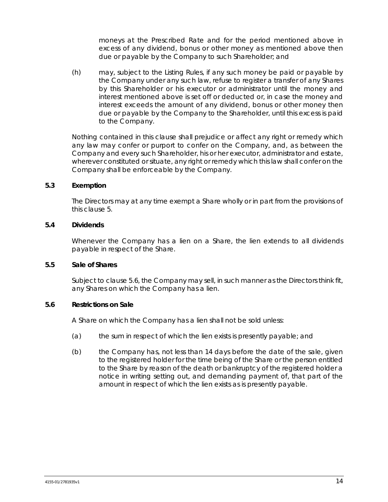moneys at the Prescribed Rate and for the period mentioned above in excess of any dividend, bonus or other money as mentioned above then due or payable by the Company to such Shareholder; and

(h) may, subject to the Listing Rules, if any such money be paid or payable by the Company under any such law, refuse to register a transfer of any Shares by this Shareholder or his executor or administrator until the money and interest mentioned above is set off or deducted or, in case the money and interest exceeds the amount of any dividend, bonus or other money then due or payable by the Company to the Shareholder, until this excess is paid to the Company.

Nothing contained in this clause shall prejudice or affect any right or remedy which any law may confer or purport to confer on the Company, and, as between the Company and every such Shareholder, his or her executor, administrator and estate, wherever constituted or situate, any right or remedy which this law shall confer on the Company shall be enforceable by the Company.

## **5.3 Exemption**

The Directors may at any time exempt a Share wholly or in part from the provisions of this clause [5.](#page-20-1)

## **5.4 Dividends**

Whenever the Company has a lien on a Share, the lien extends to all dividends payable in respect of the Share.

#### <span id="page-21-1"></span>**5.5 Sale of Shares**

Subject to clause [5.6,](#page-21-0) the Company may sell, in such manner as the Directors think fit, any Shares on which the Company has a lien.

## <span id="page-21-0"></span>**5.6 Restrictions on Sale**

A Share on which the Company has a lien shall not be sold unless:

- (a) the sum in respect of which the lien exists is presently payable; and
- (b) the Company has, not less than 14 days before the date of the sale, given to the registered holder for the time being of the Share or the person entitled to the Share by reason of the death or bankruptcy of the registered holder a notice in writing setting out, and demanding payment of, that part of the amount in respect of which the lien exists as is presently payable.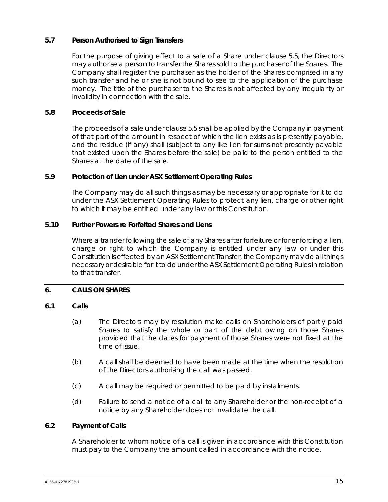## **5.7 Person Authorised to Sign Transfers**

For the purpose of giving effect to a sale of a Share under clause [5.5,](#page-21-1) the Directors may authorise a person to transfer the Shares sold to the purchaser of the Shares. The Company shall register the purchaser as the holder of the Shares comprised in any such transfer and he or she is not bound to see to the application of the purchase money. The title of the purchaser to the Shares is not affected by any irregularity or invalidity in connection with the sale.

## **5.8 Proceeds of Sale**

The proceeds of a sale under claus[e 5.5](#page-21-1) shall be applied by the Company in payment of that part of the amount in respect of which the lien exists as is presently payable, and the residue (if any) shall (subject to any like lien for sums not presently payable that existed upon the Shares before the sale) be paid to the person entitled to the Shares at the date of the sale.

## **5.9 Protection of Lien under ASX Settlement Operating Rules**

The Company may do all such things as may be necessary or appropriate for it to do under the ASX Settlement Operating Rules to protect any lien, charge or other right to which it may be entitled under any law or this Constitution.

## **5.10 Further Powers re Forfeited Shares and Liens**

Where a transfer following the sale of any Shares after forfeiture or for enforcing a lien, charge or right to which the Company is entitled under any law or under this Constitution is effected by an ASX Settlement Transfer, the Company may do all things necessary or desirable for it to do under the ASX Settlement Operating Rulesin relation to that transfer.

## <span id="page-22-0"></span>**6. CALLS ON SHARES**

## **6.1 Calls**

- (a) The Directors may by resolution make calls on Shareholders of partly paid Shares to satisfy the whole or part of the debt owing on those Shares provided that the dates for payment of those Shares were not fixed at the time of issue.
- (b) A call shall be deemed to have been made at the time when the resolution of the Directors authorising the call was passed.
- (c) A call may be required or permitted to be paid by instalments.
- (d) Failure to send a notice of a call to any Shareholder or the non-receipt of a notice by any Shareholder does not invalidate the call.

## **6.2 Payment of Calls**

A Shareholder to whom notice of a call is given in accordance with this Constitution must pay to the Company the amount called in accordance with the notice.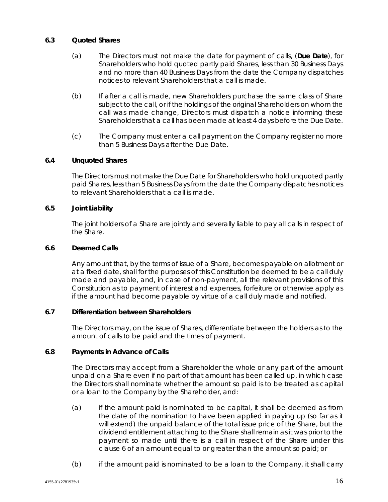## **6.3 Quoted Shares**

- (a) The Directors must not make the date for payment of calls, (**Due Date**), for Shareholders who hold quoted partly paid Shares, less than 30 Business Days and no more than 40 Business Days from the date the Company dispatches notices to relevant Shareholders that a call is made.
- (b) If after a call is made, new Shareholders purchase the same class of Share subject to the call, or if the holdings of the original Shareholders on whom the call was made change, Directors must dispatch a notice informing these Shareholders that a call has been made at least 4 days before the Due Date.
- (c) The Company must enter a call payment on the Company register no more than 5 Business Days after the Due Date.

## **6.4 Unquoted Shares**

The Directors must not make the Due Date for Shareholders who hold unquoted partly paid Shares, less than 5 Business Days from the date the Company dispatches notices to relevant Shareholders that a call is made.

#### **6.5 Joint Liability**

The joint holders of a Share are jointly and severally liable to pay all calls in respect of the Share.

#### **6.6 Deemed Calls**

Any amount that, by the terms of issue of a Share, becomes payable on allotment or at a fixed date, shall for the purposes of this Constitution be deemed to be a call duly made and payable, and, in case of non-payment, all the relevant provisions of this Constitution as to payment of interest and expenses, forfeiture or otherwise apply as if the amount had become payable by virtue of a call duly made and notified.

#### **6.7 Differentiation between Shareholders**

The Directors may, on the issue of Shares, differentiate between the holders as to the amount of calls to be paid and the times of payment.

#### **6.8 Payments in Advance of Calls**

The Directors may accept from a Shareholder the whole or any part of the amount unpaid on a Share even if no part of that amount has been called up, in which case the Directors shall nominate whether the amount so paid is to be treated as capital or a loan to the Company by the Shareholder, and:

- (a) if the amount paid is nominated to be capital, it shall be deemed as from the date of the nomination to have been applied in paying up (so far as it will extend) the unpaid balance of the total issue price of the Share, but the dividend entitlement attaching to the Share shall remain as it was prior to the payment so made until there is a call in respect of the Share under this clause [6](#page-22-0) of an amount equal to or greater than the amount so paid; or
- (b) if the amount paid is nominated to be a loan to the Company, it shall carry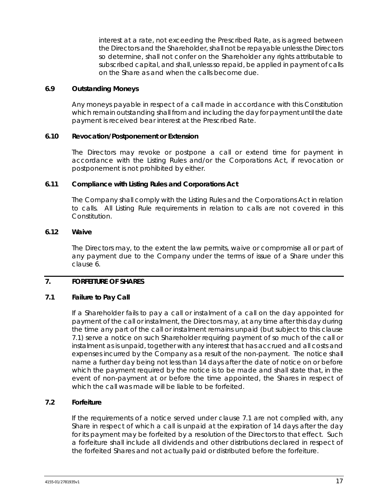interest at a rate, not exceeding the Prescribed Rate, as is agreed between the Directors and the Shareholder, shall not be repayable unless the Directors so determine, shall not confer on the Shareholder any rights attributable to subscribed capital, and shall, unless so repaid, be applied in payment of calls on the Share as and when the calls become due.

## **6.9 Outstanding Moneys**

Any moneys payable in respect of a call made in accordance with this Constitution which remain outstanding shall from and including the day for payment until the date payment is received bear interest at the Prescribed Rate.

## **6.10 Revocation/Postponement or Extension**

The Directors may revoke or postpone a call or extend time for payment in accordance with the Listing Rules and/or the Corporations Act, if revocation or postponement is not prohibited by either.

## **6.11 Compliance with Listing Rules and Corporations Act**

The Company shall comply with the Listing Rules and the Corporations Act in relation to calls. All Listing Rule requirements in relation to calls are not covered in this Constitution.

#### **6.12 Waive**

The Directors may, to the extent the law permits, waive or compromise all or part of any payment due to the Company under the terms of issue of a Share under this clause [6.](#page-22-0)

## <span id="page-24-1"></span>**7. FORFEITURE OF SHARES**

## <span id="page-24-0"></span>**7.1 Failure to Pay Call**

If a Shareholder fails to pay a call or instalment of a call on the day appointed for payment of the call or instalment, the Directors may, at any time after this day during the time any part of the call or instalment remains unpaid (but subject to this clause [7.1\)](#page-24-0) serve a notice on such Shareholder requiring payment of so much of the call or instalment as is unpaid, together with any interest that has accrued and all costs and expenses incurred by the Company as a result of the non-payment. The notice shall name a further day being not less than 14 days after the date of notice on or before which the payment required by the notice is to be made and shall state that, in the event of non-payment at or before the time appointed, the Shares in respect of which the call was made will be liable to be forfeited.

## **7.2 Forfeiture**

If the requirements of a notice served under clause [7.1](#page-24-0) are not complied with, any Share in respect of which a call is unpaid at the expiration of 14 days after the day for its payment may be forfeited by a resolution of the Directors to that effect. Such a forfeiture shall include all dividends and other distributions declared in respect of the forfeited Shares and not actually paid or distributed before the forfeiture.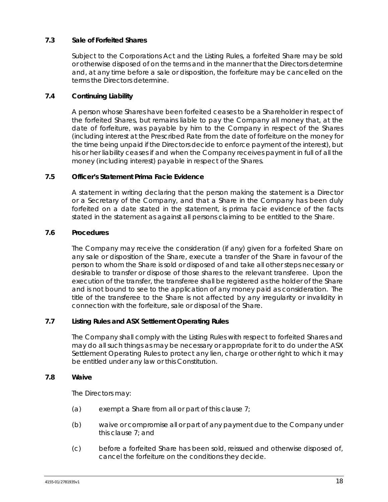## **7.3 Sale of Forfeited Shares**

Subject to the Corporations Act and the Listing Rules, a forfeited Share may be sold or otherwise disposed of on the terms and in the manner that the Directors determine and, at any time before a sale or disposition, the forfeiture may be cancelled on the terms the Directors determine.

## **7.4 Continuing Liability**

A person whose Shares have been forfeited ceases to be a Shareholder in respect of the forfeited Shares, but remains liable to pay the Company all money that, at the date of forfeiture, was payable by him to the Company in respect of the Shares (including interest at the Prescribed Rate from the date of forfeiture on the money for the time being unpaid if the Directors decide to enforce payment of the interest), but his or her liability ceases if and when the Company receives payment in full of all the money (including interest) payable in respect of the Shares.

#### **7.5 Officer's Statement Prima Facie Evidence**

A statement in writing declaring that the person making the statement is a Director or a Secretary of the Company, and that a Share in the Company has been duly forfeited on a date stated in the statement, is prima facie evidence of the facts stated in the statement as against all persons claiming to be entitled to the Share.

## **7.6 Procedures**

The Company may receive the consideration (if any) given for a forfeited Share on any sale or disposition of the Share, execute a transfer of the Share in favour of the person to whom the Share is sold or disposed of and take all other steps necessary or desirable to transfer or dispose of those shares to the relevant transferee. Upon the execution of the transfer, the transferee shall be registered as the holder of the Share and is not bound to see to the application of any money paid as consideration. The title of the transferee to the Share is not affected by any irregularity or invalidity in connection with the forfeiture, sale or disposal of the Share.

## **7.7 Listing Rules and ASX Settlement Operating Rules**

The Company shall comply with the Listing Rules with respect to forfeited Shares and may do all such things as may be necessary or appropriate for it to do under the ASX Settlement Operating Rules to protect any lien, charge or other right to which it may be entitled under any law or this Constitution.

#### **7.8 Waive**

The Directors may:

- (a) exempt a Share from all or part of this clause  $7$ ;
- (b) waive or compromise all or part of any payment due to the Company under this clause [7;](#page-24-1) and
- (c) before a forfeited Share has been sold, reissued and otherwise disposed of, cancel the forfeiture on the conditions they decide.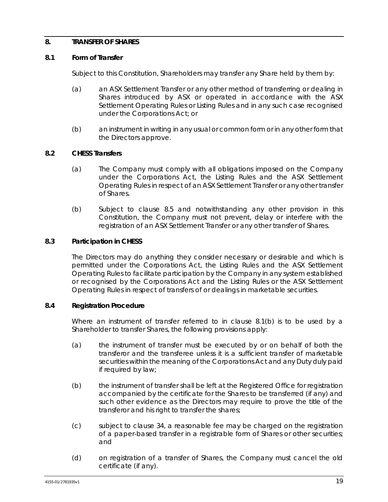## <span id="page-26-1"></span>**8. TRANSFER OF SHARES**

## **8.1 Form of Transfer**

Subject to this Constitution, Shareholders may transfer any Share held by them by:

- (a) an ASX Settlement Transfer or any other method of transferring or dealing in Shares introduced by ASX or operated in accordance with the ASX Settlement Operating Rules or Listing Rules and in any such case recognised under the Corporations Act; or
- (b) an instrument in writing in any usual or common form or in any other form that the Directors approve.

## <span id="page-26-0"></span>**8.2 CHESS Transfers**

- (a) The Company must comply with all obligations imposed on the Company under the Corporations Act, the Listing Rules and the ASX Settlement Operating Rules in respect of an ASX Settlement Transfer or any other transfer of Shares.
- (b) Subject to clause [8.5](#page-27-0) and notwithstanding any other provision in this Constitution, the Company must not prevent, delay or interfere with the registration of an ASX Settlement Transfer or any other transfer of Shares.

## **8.3 Participation in CHESS**

The Directors may do anything they consider necessary or desirable and which is permitted under the Corporations Act, the Listing Rules and the ASX Settlement Operating Rules to facilitate participation by the Company in any system established or recognised by the Corporations Act and the Listing Rules or the ASX Settlement Operating Rules in respect of transfers of or dealings in marketable securities.

#### **8.4 Registration Procedure**

Where an instrument of transfer referred to in clause [8.1\(b\)](#page-26-0) is to be used by a Shareholder to transfer Shares, the following provisions apply:

- (a) the instrument of transfer must be executed by or on behalf of both the transferor and the transferee unless it is a sufficient transfer of marketable securities within the meaning of the Corporations Act and any Duty duly paid if required by law;
- (b) the instrument of transfer shall be left at the Registered Office for registration accompanied by the certificate for the Shares to be transferred (if any) and such other evidence as the Directors may require to prove the title of the transferor and his right to transfer the shares;
- (c) subject to clause [34,](#page-66-0) a reasonable fee may be charged on the registration of a paper-based transfer in a registrable form of Shares or other securities; and
- (d) on registration of a transfer of Shares, the Company must cancel the old certificate (if any).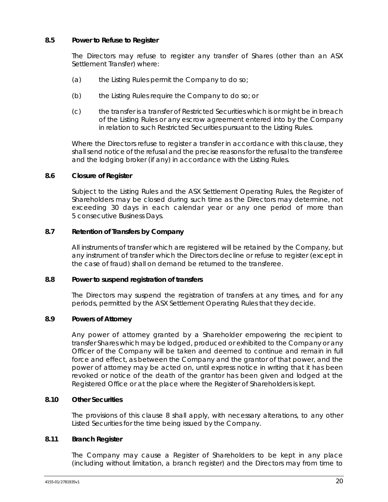## <span id="page-27-0"></span>**8.5 Power to Refuse to Register**

The Directors may refuse to register any transfer of Shares (other than an ASX Settlement Transfer) where:

- (a) the Listing Rules permit the Company to do so;
- (b) the Listing Rules require the Company to do so; or
- (c) the transfer is a transfer of Restricted Securities which is or might be in breach of the Listing Rules or any escrow agreement entered into by the Company in relation to such Restricted Securities pursuant to the Listing Rules.

Where the Directors refuse to register a transfer in accordance with this clause, they shall send notice of the refusal and the precise reasons for the refusal to the transferee and the lodging broker (if any) in accordance with the Listing Rules.

## **8.6 Closure of Register**

Subject to the Listing Rules and the ASX Settlement Operating Rules, the Register of Shareholders may be closed during such time as the Directors may determine, not exceeding 30 days in each calendar year or any one period of more than 5 consecutive Business Days.

## **8.7 Retention of Transfers by Company**

All instruments of transfer which are registered will be retained by the Company, but any instrument of transfer which the Directors decline or refuse to register (except in the case of fraud) shall on demand be returned to the transferee.

#### **8.8 Power to suspend registration of transfers**

The Directors may suspend the registration of transfers at any times, and for any periods, permitted by the ASX Settlement Operating Rules that they decide.

## **8.9 Powers of Attorney**

Any power of attorney granted by a Shareholder empowering the recipient to transfer Shares which may be lodged, produced or exhibited to the Company or any Officer of the Company will be taken and deemed to continue and remain in full force and effect, as between the Company and the grantor of that power, and the power of attorney may be acted on, until express notice in writing that it has been revoked or notice of the death of the grantor has been given and lodged at the Registered Office or at the place where the Register of Shareholders is kept.

#### **8.10 Other Securities**

The provisions of this clause [8](#page-26-1) shall apply, with necessary alterations, to any other Listed Securities for the time being issued by the Company.

#### **8.11 Branch Register**

The Company may cause a Register of Shareholders to be kept in any place (including without limitation, a branch register) and the Directors may from time to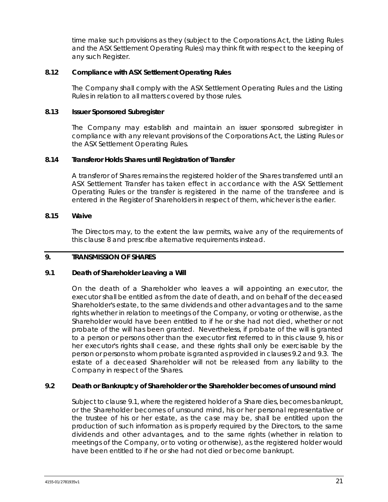time make such provisions as they (subject to the Corporations Act, the Listing Rules and the ASX Settlement Operating Rules) may think fit with respect to the keeping of any such Register.

## **8.12 Compliance with ASX Settlement Operating Rules**

The Company shall comply with the ASX Settlement Operating Rules and the Listing Rules in relation to all matters covered by those rules.

## **8.13 Issuer Sponsored Subregister**

The Company may establish and maintain an issuer sponsored subregister in compliance with any relevant provisions of the Corporations Act, the Listing Rules or the ASX Settlement Operating Rules.

## **8.14 Transferor Holds Shares until Registration of Transfer**

A transferor of Shares remains the registered holder of the Shares transferred until an ASX Settlement Transfer has taken effect in accordance with the ASX Settlement Operating Rules or the transfer is registered in the name of the transferee and is entered in the Register of Shareholders in respect of them, whichever is the earlier.

## **8.15 Waive**

The Directors may, to the extent the law permits, waive any of the requirements of this clause [8](#page-26-1) and prescribe alternative requirements instead.

#### <span id="page-28-0"></span>**9. TRANSMISSION OF SHARES**

## <span id="page-28-2"></span>**9.1 Death of Shareholder Leaving a Will**

On the death of a Shareholder who leaves a will appointing an executor, the executor shall be entitled as from the date of death, and on behalf of the deceased Shareholder's estate, to the same dividends and other advantages and to the same rights whether in relation to meetings of the Company, or voting or otherwise, as the Shareholder would have been entitled to if he or she had not died, whether or not probate of the will has been granted. Nevertheless, if probate of the will is granted to a person or persons other than the executor first referred to in this clause [9,](#page-28-0) his or her executor's rights shall cease, and these rights shall only be exercisable by the person or persons to whom probate is granted as provided in clauses [9.2](#page-28-1) and [9.3.](#page-29-0) The estate of a deceased Shareholder will not be released from any liability to the Company in respect of the Shares.

## <span id="page-28-1"></span>**9.2 Death or Bankruptcy of Shareholder or the Shareholder becomes of unsound mind**

Subject to clause [9.1,](#page-28-2) where the registered holder of a Share dies, becomes bankrupt, or the Shareholder becomes of unsound mind, his or her personal representative or the trustee of his or her estate, as the case may be, shall be entitled upon the production of such information as is properly required by the Directors, to the same dividends and other advantages, and to the same rights (whether in relation to meetings of the Company, or to voting or otherwise), as the registered holder would have been entitled to if he or she had not died or become bankrupt.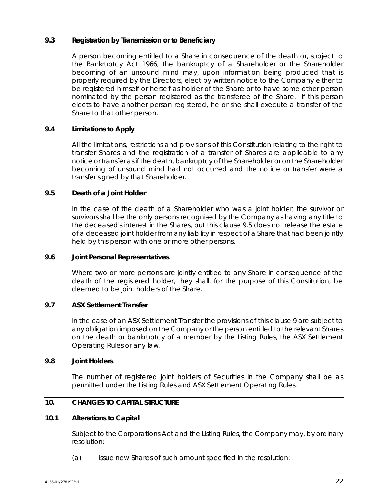## <span id="page-29-0"></span>**9.3 Registration by Transmission or to Beneficiary**

A person becoming entitled to a Share in consequence of the death or, subject to the *Bankruptcy Act 1966*, the bankruptcy of a Shareholder or the Shareholder becoming of an unsound mind may, upon information being produced that is properly required by the Directors, elect by written notice to the Company either to be registered himself or herself as holder of the Share or to have some other person nominated by the person registered as the transferee of the Share. If this person elects to have another person registered, he or she shall execute a transfer of the Share to that other person.

## **9.4 Limitations to Apply**

All the limitations, restrictions and provisions of this Constitution relating to the right to transfer Shares and the registration of a transfer of Shares are applicable to any notice or transfer as if the death, bankruptcy of the Shareholder or on the Shareholder becoming of unsound mind had not occurred and the notice or transfer were a transfer signed by that Shareholder.

#### <span id="page-29-1"></span>**9.5 Death of a Joint Holder**

In the case of the death of a Shareholder who was a joint holder, the survivor or survivors shall be the only persons recognised by the Company as having any title to the deceased's interest in the Shares, but this clause [9.5](#page-29-1) does not release the estate of a deceased joint holder from any liability in respect of a Share that had been jointly held by this person with one or more other persons.

#### **9.6 Joint Personal Representatives**

Where two or more persons are jointly entitled to any Share in consequence of the death of the registered holder, they shall, for the purpose of this Constitution, be deemed to be joint holders of the Share.

#### **9.7 ASX Settlement Transfer**

In the case of an ASX Settlement Transfer the provisions of this clause [9](#page-28-0) are subject to any obligation imposed on the Company or the person entitled to the relevant Shares on the death or bankruptcy of a member by the Listing Rules, the ASX Settlement Operating Rules or any law.

#### **9.8 Joint Holders**

The number of registered joint holders of Securities in the Company shall be as permitted under the Listing Rules and ASX Settlement Operating Rules.

#### **10. CHANGES TO CAPITAL STRUCTURE**

#### **10.1 Alterations to Capital**

Subject to the Corporations Act and the Listing Rules, the Company may, by ordinary resolution:

(a) issue new Shares of such amount specified in the resolution;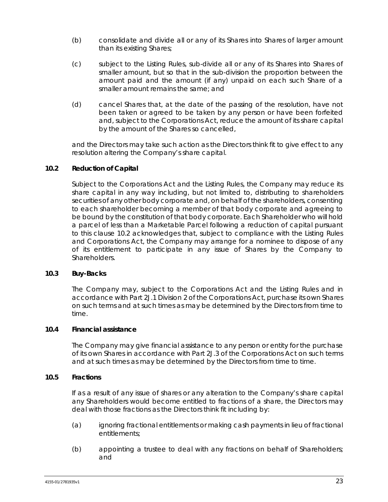- (b) consolidate and divide all or any of its Shares into Shares of larger amount than its existing Shares;
- (c) subject to the Listing Rules, sub-divide all or any of its Shares into Shares of smaller amount, but so that in the sub-division the proportion between the amount paid and the amount (if any) unpaid on each such Share of a smaller amount remains the same; and
- (d) cancel Shares that, at the date of the passing of the resolution, have not been taken or agreed to be taken by any person or have been forfeited and, subject to the Corporations Act, reduce the amount of its share capital by the amount of the Shares so cancelled,

and the Directors may take such action as the Directors think fit to give effect to any resolution altering the Company's share capital.

## **10.2 Reduction of Capital**

Subject to the Corporations Act and the Listing Rules, the Company may reduce its share capital in any way including, but not limited to, distributing to shareholders securities of any other body corporate and, on behalf of the shareholders, consenting to each shareholder becoming a member of that body corporate and agreeing to be bound by the constitution of that body corporate. *Each Shareholder who will hold a parcel of less than a Marketable Parcel following a reduction of capital pursuant*  to this clause 10.2 acknowledges that, subject to compliance with the Listing Rules *and Corporations Act, the Company may arrange for a nominee to dispose of any of its entitlement to participate in any issue of Shares by the Company to Shareholders.*

## **10.3 Buy-Backs**

The Company may, subject to the Corporations Act and the Listing Rules and in accordance with Part 2J.1 Division 2 of the Corporations Act, purchase its own Shares on such terms and at such times as may be determined by the Directors from time to time.

#### **10.4 Financial assistance**

The Company may give financial assistance to any person or entity for the purchase of its own Shares in accordance with Part 2J.3 of the Corporations Act on such terms and at such times as may be determined by the Directors from time to time.

## **10.5 Fractions**

If as a result of any issue of shares or any alteration to the Company's share capital any Shareholders would become entitled to fractions of a share, the Directors may deal with those fractions as the Directors think fit including by:

- (a) ignoring fractional entitlements or making cash payments in lieu of fractional entitlements;
- (b) appointing a trustee to deal with any fractions on behalf of Shareholders; and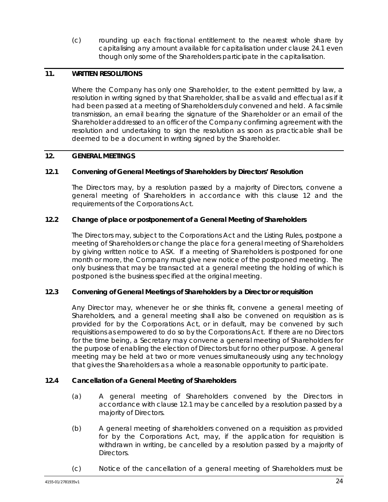(c) rounding up each fractional entitlement to the nearest whole share by capitalising any amount available for capitalisation under clause [24.1](#page-58-0) even though only some of the Shareholders participate in the capitalisation.

## **11. WRITTEN RESOLUTIONS**

Where the Company has only one Shareholder, to the extent permitted by law, a resolution in writing signed by that Shareholder, shall be as valid and effectual as if it had been passed at a meeting of Shareholders duly convened and held. A facsimile transmission, an email bearing the signature of the Shareholder or an email of the Shareholder addressed to an officer of the Company confirming agreement with the resolution and undertaking to sign the resolution as soon as practicable shall be deemed to be a document in writing signed by the Shareholder.

#### <span id="page-31-0"></span>**12. GENERAL MEETINGS**

## <span id="page-31-1"></span>**12.1 Convening of General Meetings of Shareholders by Directors' Resolution**

The Directors may, by a resolution passed by a majority of Directors, convene a general meeting of Shareholders in accordance with this clause [12](#page-31-0) and the requirements of the Corporations Act.

## **12.2 Change of place or postponement of a General Meeting of Shareholders**

The Directors may, subject to the Corporations Act and the Listing Rules, postpone a meeting of Shareholders or change the place for a general meeting of Shareholders by giving written notice to ASX. If a meeting of Shareholders is postponed for one month or more, the Company must give new notice of the postponed meeting. The only business that may be transacted at a general meeting the holding of which is postponed is the business specified at the original meeting.

#### **12.3 Convening of General Meetings of Shareholders by a Director or requisition**

Any Director may, whenever he or she thinks fit, convene a general meeting of Shareholders, and a general meeting shall also be convened on requisition as is provided for by the Corporations Act, or in default, may be convened by such requisitions as empowered to do so by the Corporations Act. If there are no Directors for the time being, a Secretary may convene a general meeting of Shareholders for the purpose of enabling the election of Directors but for no other purpose. A general meeting may be held at two or more venues simultaneously using any technology that gives the Shareholders as a whole a reasonable opportunity to participate.

#### **12.4 Cancellation of a General Meeting of Shareholders**

- (a) A general meeting of Shareholders convened by the Directors in accordance with clause [12.1](#page-31-1) may be cancelled by a resolution passed by a majority of Directors.
- (b) A general meeting of shareholders convened on a requisition as provided for by the Corporations Act, may, if the application for requisition is withdrawn in writing, be cancelled by a resolution passed by a majority of Directors.
- (c) Notice of the cancellation of a general meeting of Shareholders must be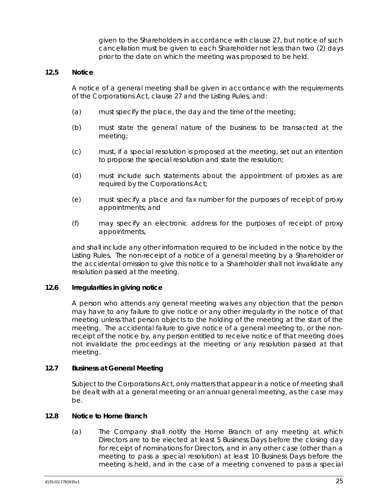given to the Shareholders in accordance with clause [27,](#page-60-0) but notice of such cancellation must be given to each Shareholder not less than two (2) days prior to the date on which the meeting was proposed to be held.

#### **12.5 Notice**

A notice of a general meeting shall be given in accordance with the requirements of the Corporations Act, clause [27](#page-60-0) and the Listing Rules, and:

- (a) must specify the place, the day and the time of the meeting;
- (b) must state the general nature of the business to be transacted at the meeting;
- (c) must, if a special resolution is proposed at the meeting, set out an intention to propose the special resolution and state the resolution;
- (d) must include such statements about the appointment of proxies as are required by the Corporations Act;
- (e) must specify a place and fax number for the purposes of receipt of proxy appointments; and
- (f) may specify an electronic address for the purposes of receipt of proxy appointments,

and shall include any other information required to be included in the notice by the Listing Rules. The non-receipt of a notice of a general meeting by a Shareholder or the accidental omission to give this notice to a Shareholder shall not invalidate any resolution passed at the meeting.

## **12.6 Irregularities in giving notice**

A person who attends any general meeting waives any objection that the person may have to any failure to give notice or any other irregularity in the notice of that meeting unless that person objects to the holding of the meeting at the start of the meeting. The accidental failure to give notice of a general meeting to, or the nonreceipt of the notice by, any person entitled to receive notice of that meeting does not invalidate the proceedings at the meeting or any resolution passed at that meeting.

#### **12.7 Business at General Meeting**

Subject to the Corporations Act, only matters that appear in a notice of meeting shall be dealt with at a general meeting or an annual general meeting, as the case may be.

#### **12.8 Notice to Home Branch**

(a) The Company shall notify the Home Branch of any meeting at which Directors are to be elected at least 5 Business Days before the closing day for receipt of nominations for Directors, and in any other case (other than a meeting to pass a special resolution) at least 10 Business Days before the meeting is held, and in the case of a meeting convened to pass a special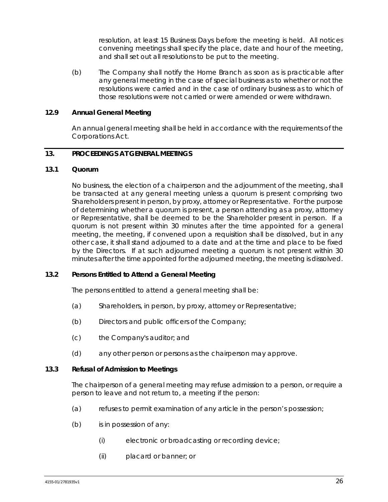resolution, at least 15 Business Days before the meeting is held. All notices convening meetings shall specify the place, date and hour of the meeting, and shall set out all resolutions to be put to the meeting.

(b) The Company shall notify the Home Branch as soon as is practicable after any general meeting in the case of special business as to whether or not the resolutions were carried and in the case of ordinary business as to which of those resolutions were not carried or were amended or were withdrawn.

## **12.9 Annual General Meeting**

An annual general meeting shall be held in accordance with the requirements of the Corporations Act.

## **13. PROCEEDINGS AT GENERAL MEETINGS**

#### **13.1 Quorum**

No business, the election of a chairperson and the adjournment of the meeting, shall be transacted at any general meeting unless a quorum is present comprising two Shareholders present in person, by proxy, attorney or Representative. For the purpose of determining whether a quorum is present, a person attending as a proxy, attorney or Representative, shall be deemed to be the Shareholder present in person. If a quorum is not present within 30 minutes after the time appointed for a general meeting, the meeting, if convened upon a requisition shall be dissolved, but in any other case, it shall stand adjourned to a date and at the time and place to be fixed by the Directors. If at such adjourned meeting a quorum is not present within 30 minutes after the time appointed for the adjourned meeting, the meeting is dissolved.

#### **13.2 Persons Entitled to Attend a General Meeting**

The persons entitled to attend a general meeting shall be:

- (a) Shareholders, in person, by proxy, attorney or Representative;
- (b) Directors and public officers of the Company;
- (c) the Company's auditor; and
- (d) any other person or persons as the chairperson may approve.

#### <span id="page-33-0"></span>**13.3 Refusal of Admission to Meetings**

The chairperson of a general meeting may refuse admission to a person, or require a person to leave and not return to, a meeting if the person:

- (a) refuses to permit examination of any article in the person's possession;
- (b) is in possession of any:
	- (i) electronic or broadcasting or recording device;
	- (ii) placard or banner; or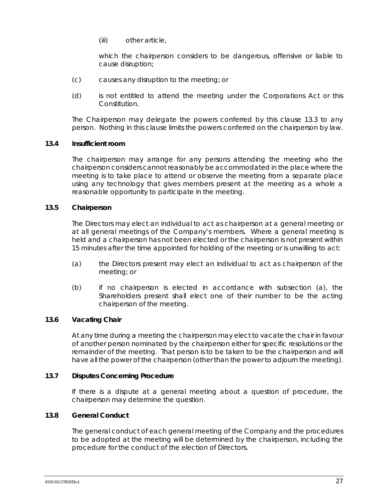(iii) other article,

which the chairperson considers to be dangerous, offensive or liable to cause disruption;

- (c) causes any disruption to the meeting; or
- (d) is not entitled to attend the meeting under the Corporations Act or this Constitution.

The Chairperson may delegate the powers conferred by this clause [13.3](#page-33-0) to any person. Nothing in this clause limits the powers conferred on the chairperson by law.

## **13.4 Insufficient room**

The chairperson may arrange for any persons attending the meeting who the chairperson considers cannot reasonably be accommodated in the place where the meeting is to take place to attend or observe the meeting from a separate place using any technology that gives members present at the meeting as a whole a reasonable opportunity to participate in the meeting.

## **13.5 Chairperson**

The Directors may elect an individual to act as chairperson at a general meeting or at all general meetings of the Company's members. Where a general meeting is held and a chairperson has not been elected or the chairperson is not present within 15 minutes after the time appointed for holding of the meeting or is unwilling to act:

- (a) the Directors present may elect an individual to act as chairperson of the meeting; or
- (b) if no chairperson is elected in accordance with subsection (a), the Shareholders present shall elect one of their number to be the acting chairperson of the meeting.

#### **13.6 Vacating Chair**

At any time during a meeting the chairperson may elect to vacate the chair in favour of another person nominated by the chairperson either for specific resolutions or the remainder of the meeting. That person is to be taken to be the chairperson and will have all the power of the chairperson (other than the power to adjourn the meeting).

#### **13.7 Disputes Concerning Procedure**

If there is a dispute at a general meeting about a question of procedure, the chairperson may determine the question.

#### **13.8 General Conduct**

The general conduct of each general meeting of the Company and the procedures to be adopted at the meeting will be determined by the chairperson, including the procedure for the conduct of the election of Directors.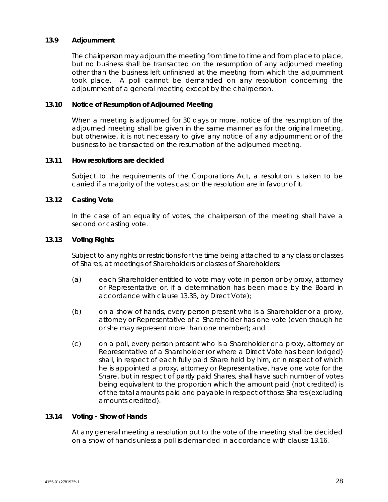## **13.9 Adjournment**

The chairperson may adjourn the meeting from time to time and from place to place, but no business shall be transacted on the resumption of any adjourned meeting other than the business left unfinished at the meeting from which the adjournment took place. A poll cannot be demanded on any resolution concerning the adjournment of a general meeting except by the chairperson.

## **13.10 Notice of Resumption of Adjourned Meeting**

When a meeting is adjourned for 30 days or more, notice of the resumption of the adjourned meeting shall be given in the same manner as for the original meeting, but otherwise, it is not necessary to give any notice of any adjournment or of the business to be transacted on the resumption of the adjourned meeting.

## **13.11 How resolutions are decided**

Subject to the requirements of the Corporations Act, a resolution is taken to be carried if a majority of the votes cast on the resolution are in favour of it.

## **13.12 Casting Vote**

In the case of an equality of votes, the chairperson of the meeting shall have a second or casting vote.

## **13.13 Voting Rights**

Subject to any rights or restrictions for the time being attached to any class or classes of Shares, at meetings of Shareholders or classes of Shareholders:

- (a) each Shareholder entitled to vote may vote in person or by proxy, attorney or Representative or, if a determination has been made by the Board in accordance with clause [13.35,](#page-40-0) by Direct Vote);
- (b) on a show of hands, every person present who is a Shareholder or a proxy, attorney or Representative of a Shareholder has one vote (even though he or she may represent more than one member); and
- (c) on a poll, every person present who is a Shareholder or a proxy, attorney or Representative of a Shareholder (or where a Direct Vote has been lodged) shall, in respect of each fully paid Share held by him, or in respect of which he is appointed a proxy, attorney or Representative, have one vote for the Share, but in respect of partly paid Shares, shall have such number of votes being equivalent to the proportion which the amount paid (not credited) is of the total amounts paid and payable in respect of those Shares (excluding amounts credited).

## **13.14 Voting - Show of Hands**

At any general meeting a resolution put to the vote of the meeting shall be decided on a show of hands unless a poll is demanded in accordance with clause [13.16.](#page-36-0)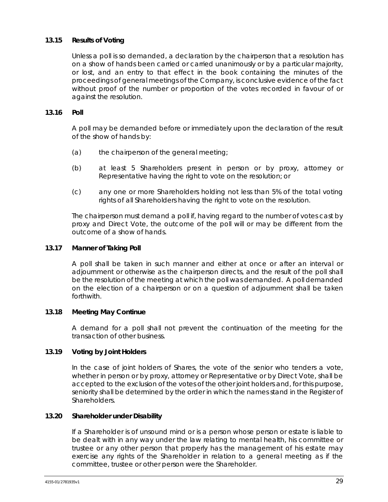## **13.15 Results of Voting**

Unless a poll is so demanded, a declaration by the chairperson that a resolution has on a show of hands been carried or carried unanimously or by a particular majority, or lost, and an entry to that effect in the book containing the minutes of the proceedings of general meetings of the Company, is conclusive evidence of the fact without proof of the number or proportion of the votes recorded in favour of or against the resolution.

## **13.16 Poll**

A poll may be demanded before or immediately upon the declaration of the result of the show of hands by:

- (a) the chairperson of the general meeting;
- (b) at least 5 Shareholders present in person or by proxy, attorney or Representative having the right to vote on the resolution; or
- (c) any one or more Shareholders holding not less than 5% of the total voting rights of all Shareholders having the right to vote on the resolution.

The chairperson must demand a poll if, having regard to the number of votes cast by proxy and Direct Vote, the outcome of the poll will or may be different from the outcome of a show of hands.

## **13.17 Manner of Taking Poll**

A poll shall be taken in such manner and either at once or after an interval or adjournment or otherwise as the chairperson directs, and the result of the poll shall be the resolution of the meeting at which the poll was demanded. A poll demanded on the election of a chairperson or on a question of adjournment shall be taken forthwith.

## **13.18 Meeting May Continue**

A demand for a poll shall not prevent the continuation of the meeting for the transaction of other business.

## **13.19 Voting by Joint Holders**

In the case of joint holders of Shares, the vote of the senior who tenders a vote, whether in person or by proxy, attorney or Representative or by Direct Vote, shall be accepted to the exclusion of the votes of the other joint holders and, for this purpose, seniority shall be determined by the order in which the names stand in the Register of Shareholders.

#### **13.20 Shareholder under Disability**

If a Shareholder is of unsound mind or is a person whose person or estate is liable to be dealt with in any way under the law relating to mental health, his committee or trustee or any other person that properly has the management of his estate may exercise any rights of the Shareholder in relation to a general meeting as if the committee, trustee or other person were the Shareholder.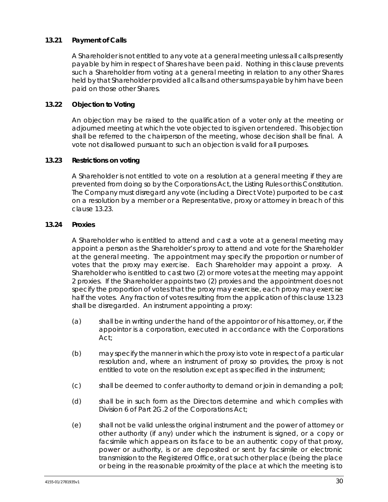# **13.21 Payment of Calls**

A Shareholder is not entitled to any vote at a general meeting unless all calls presently payable by him in respect of Shares have been paid. Nothing in this clause prevents such a Shareholder from voting at a general meeting in relation to any other Shares held by that Shareholder provided all calls and other sums payable by him have been paid on those other Shares.

# **13.22 Objection to Voting**

An objection may be raised to the qualification of a voter only at the meeting or adjourned meeting at which the vote objected to is given or tendered. This objection shall be referred to the chairperson of the meeting, whose decision shall be final. A vote not disallowed pursuant to such an objection is valid for all purposes.

# <span id="page-37-0"></span>**13.23 Restrictions on voting**

A Shareholder is not entitled to vote on a resolution at a general meeting if they are prevented from doing so by the Corporations Act, the Listing Rules or this Constitution. The Company must disregard any vote (including a Direct Vote) purported to be cast on a resolution by a member or a Representative, proxy or attorney in breach of this clause [13.23.](#page-37-0)

# <span id="page-37-1"></span>**13.24 Proxies**

A Shareholder who is entitled to attend and cast a vote at a general meeting may appoint a person as the Shareholder's proxy to attend and vote for the Shareholder at the general meeting. The appointment may specify the proportion or number of votes that the proxy may exercise. Each Shareholder may appoint a proxy. A Shareholder who is entitled to cast two (2) or more votes at the meeting may appoint 2 proxies. If the Shareholder appoints two (2) proxies and the appointment does not specify the proportion of votes that the proxy may exercise, each proxy may exercise half the votes. Any fraction of votes resulting from the application of this clause [13.23](#page-37-0) shall be disregarded. An instrument appointing a proxy:

- (a) shall be in writing under the hand of the appointor or of his attorney, or, if the appointor is a corporation, executed in accordance with the Corporations Act;
- (b) may specify the manner in which the proxy is to vote in respect of a particular resolution and, where an instrument of proxy so provides, the proxy is not entitled to vote on the resolution except as specified in the instrument;
- (c) shall be deemed to confer authority to demand or join in demanding a poll;
- (d) shall be in such form as the Directors determine and which complies with Division 6 of Part 2G.2 of the Corporations Act;
- <span id="page-37-2"></span>(e) shall not be valid unless the original instrument and the power of attorney or other authority (if any) under which the instrument is signed, or a copy or facsimile which appears on its face to be an authentic copy of that proxy, power or authority, is or are deposited or sent by facsimile or electronic transmission to the Registered Office, or at such other place (being the place or being in the reasonable proximity of the place at which the meeting is to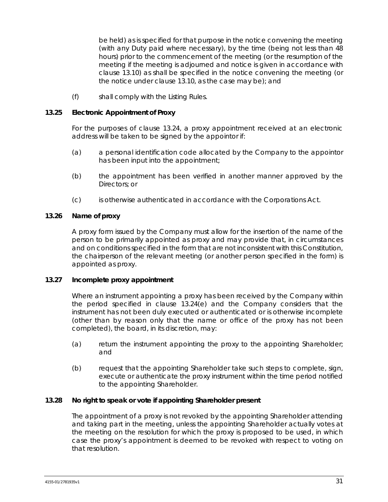be held) as is specified for that purpose in the notice convening the meeting (with any Duty paid where necessary), by the time (being not less than 48 hours) prior to the commencement of the meeting (or the resumption of the meeting if the meeting is adjourned and notice is given in accordance with clause [13.10\)](#page-35-0) as shall be specified in the notice convening the meeting (or the notice under clause [13.10,](#page-35-0) as the case may be); and

(f) shall comply with the Listing Rules.

# **13.25 Electronic Appointment of Proxy**

For the purposes of clause [13.24,](#page-37-1) a proxy appointment received at an electronic address will be taken to be signed by the appointor if:

- (a) a personal identification code allocated by the Company to the appointor has been input into the appointment;
- (b) the appointment has been verified in another manner approved by the Directors; or
- (c) is otherwise authenticated in accordance with the Corporations Act.

# **13.26 Name of proxy**

A proxy form issued by the Company must allow for the insertion of the name of the person to be primarily appointed as proxy and may provide that, in circumstances and on conditions specified in the form that are not inconsistent with this Constitution, the chairperson of the relevant meeting (or another person specified in the form) is appointed as proxy.

# **13.27 Incomplete proxy appointment**

Where an instrument appointing a proxy has been received by the Company within the period specified in clause [13.24\(e\)](#page-37-2) and the Company considers that the instrument has not been duly executed or authenticated or is otherwise incomplete (other than by reason only that the name or office of the proxy has not been completed), the board, in its discretion, may:

- (a) return the instrument appointing the proxy to the appointing Shareholder; and
- (b) request that the appointing Shareholder take such steps to complete, sign, execute or authenticate the proxy instrument within the time period notified to the appointing Shareholder.

# **13.28 No right to speak or vote if appointing Shareholder present**

The appointment of a proxy is not revoked by the appointing Shareholder attending and taking part in the meeting, unless the appointing Shareholder actually votes at the meeting on the resolution for which the proxy is proposed to be used, in which case the proxy's appointment is deemed to be revoked with respect to voting on that resolution.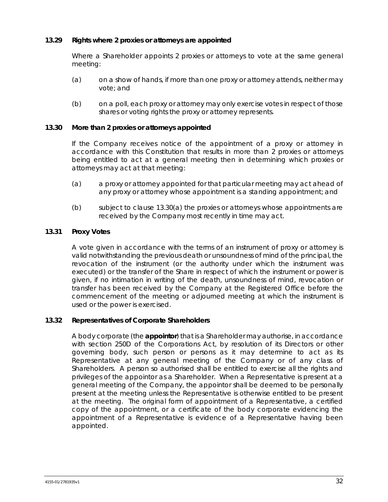## **13.29 Rights where 2 proxies or attorneys are appointed**

Where a Shareholder appoints 2 proxies or attorneys to vote at the same general meeting:

- (a) on a show of hands, if more than one proxy or attorney attends, neither may vote; and
- (b) on a poll, each proxy or attorney may only exercise votes in respect of those shares or voting rights the proxy or attorney represents.

## **13.30 More than 2 proxies or attorneys appointed**

If the Company receives notice of the appointment of a proxy or attorney in accordance with this Constitution that results in more than 2 proxies or attorneys being entitled to act at a general meeting then in determining which proxies or attorneys may act at that meeting:

- <span id="page-39-0"></span>(a) a proxy or attorney appointed for that particular meeting may act ahead of any proxy or attorney whose appointment is a standing appointment; and
- (b) subject to clause [13.30\(a\)](#page-39-0) the proxies or attorneys whose appointments are received by the Company most recently in time may act.

## **13.31 Proxy Votes**

A vote given in accordance with the terms of an instrument of proxy or attorney is valid notwithstanding the previous death or unsoundness of mind of the principal, the revocation of the instrument (or the authority under which the instrument was executed) or the transfer of the Share in respect of which the instrument or power is given, if no intimation in writing of the death, unsoundness of mind, revocation or transfer has been received by the Company at the Registered Office before the commencement of the meeting or adjourned meeting at which the instrument is used or the power is exercised.

## <span id="page-39-1"></span>**13.32 Representatives of Corporate Shareholders**

A body corporate (the **appointor**) that is a Shareholder may authorise, in accordance with section 250D of the Corporations Act, by resolution of its Directors or other governing body, such person or persons as it may determine to act as its Representative at any general meeting of the Company or of any class of Shareholders. A person so authorised shall be entitled to exercise all the rights and privileges of the appointor as a Shareholder. When a Representative is present at a general meeting of the Company, the appointor shall be deemed to be personally present at the meeting unless the Representative is otherwise entitled to be present at the meeting. The original form of appointment of a Representative, a certified copy of the appointment, or a certificate of the body corporate evidencing the appointment of a Representative is evidence of a Representative having been appointed.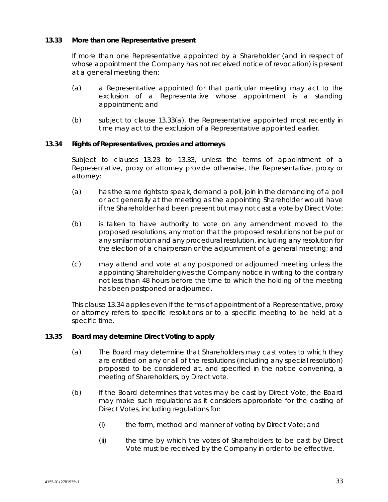## <span id="page-40-1"></span>**13.33 More than one Representative present**

If more than one Representative appointed by a Shareholder (and in respect of whose appointment the Company has not received notice of revocation) is present at a general meeting then:

- <span id="page-40-0"></span>(a) a Representative appointed for that particular meeting may act to the exclusion of a Representative whose appointment is a standing appointment; and
- (b) subject to clause [13.33\(a\),](#page-40-0) the Representative appointed most recently in time may act to the exclusion of a Representative appointed earlier.

## <span id="page-40-2"></span>**13.34 Rights of Representatives, proxies and attorneys**

Subject to clauses [13.23](#page-37-0) to [13.33,](#page-40-1) unless the terms of appointment of a Representative, proxy or attorney provide otherwise, the Representative, proxy or attorney:

- (a) has the same rights to speak, demand a poll, join in the demanding of a poll or act generally at the meeting as the appointing Shareholder would have if the Shareholder had been present but may not cast a vote by Direct Vote;
- (b) is taken to have authority to vote on any amendment moved to the proposed resolutions, any motion that the proposed resolutions not be put or any similar motion and any procedural resolution, including any resolution for the election of a chairperson or the adjournment of a general meeting; and
- (c) may attend and vote at any postponed or adjourned meeting unless the appointing Shareholder gives the Company notice in writing to the contrary not less than 48 hours before the time to which the holding of the meeting has been postponed or adjourned.

This clause [13.34](#page-40-2) applies even if the terms of appointment of a Representative, proxy or attorney refers to specific resolutions or to a specific meeting to be held at a specific time.

## <span id="page-40-3"></span>**13.35 Board may determine Direct Voting to apply**

- (a) The Board may determine that Shareholders may cast votes to which they are entitled on any or all of the resolutions (including any special resolution) proposed to be considered at, and specified in the notice convening, a meeting of Shareholders, by Direct vote.
- (b) If the Board determines that votes may be cast by Direct Vote, the Board may make such regulations as it considers appropriate for the casting of Direct Votes, including regulations for:
	- (i) the form, method and manner of voting by Direct Vote; and
	- (ii) the time by which the votes of Shareholders to be cast by Direct Vote must be received by the Company in order to be effective.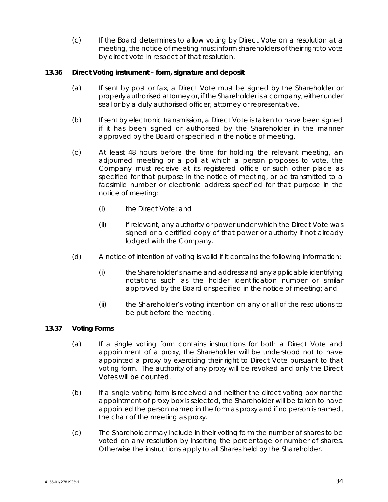(c) If the Board determines to allow voting by Direct Vote on a resolution at a meeting, the notice of meeting must inform shareholders of their right to vote by direct vote in respect of that resolution.

## **13.36 Direct Voting instrument – form, signature and deposit**

- (a) If sent by post or fax, a Direct Vote must be signed by the Shareholder or properly authorised attorney or, if the Shareholder is a company, either under seal or by a duly authorised officer, attorney or representative.
- (b) If sent by electronic transmission, a Direct Vote is taken to have been signed if it has been signed or authorised by the Shareholder in the manner approved by the Board or specified in the notice of meeting.
- (c) At least 48 hours before the time for holding the relevant meeting, an adjourned meeting or a poll at which a person proposes to vote, the Company must receive at its registered office or such other place as specified for that purpose in the notice of meeting, or be transmitted to a facsimile number or electronic address specified for that purpose in the notice of meeting:
	- (i) the Direct Vote; and
	- (ii) if relevant, any authority or power under which the Direct Vote was signed or a certified copy of that power or authority if not already lodged with the Company.
- (d) A notice of intention of voting is valid if it contains the following information:
	- (i) the Shareholder's name and address and any applicable identifying notations such as the holder identification number or similar approved by the Board or specified in the notice of meeting; and
	- (ii) the Shareholder's voting intention on any or all of the resolutions to be put before the meeting.

# **13.37 Voting Forms**

- (a) If a single voting form contains instructions for both a Direct Vote and appointment of a proxy, the Shareholder will be understood not to have appointed a proxy by exercising their right to Direct Vote pursuant to that voting form. The authority of any proxy will be revoked and only the Direct Votes will be counted.
- (b) If a single voting form is received and neither the direct voting box nor the appointment of proxy box is selected, the Shareholder will be taken to have appointed the person named in the form as proxy and if no person is named, the chair of the meeting as proxy.
- (c) The Shareholder may include in their voting form the number of shares to be voted on any resolution by inserting the percentage or number of shares. Otherwise the instructions apply to all Shares held by the Shareholder.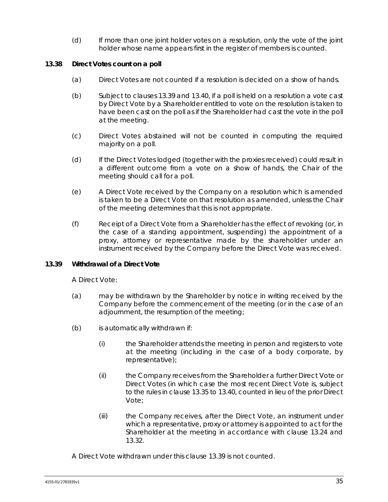(d) If more than one joint holder votes on a resolution, only the vote of the joint holder whose name appears first in the register of members is counted.

# **13.38 Direct Votes count on a poll**

- (a) Direct Votes are not counted if a resolution is decided on a show of hands.
- (b) Subject to clauses [13.39](#page-42-0) and [13.40,](#page-43-0) if a poll is held on a resolution a vote cast by Direct Vote by a Shareholder entitled to vote on the resolution is taken to have been cast on the poll as if the Shareholder had cast the vote in the poll at the meeting.
- (c) Direct Votes abstained will not be counted in computing the required majority on a poll.
- (d) If the Direct Votes lodged (together with the proxies received) could result in a different outcome from a vote on a show of hands, the Chair of the meeting should call for a poll.
- (e) A Direct Vote received by the Company on a resolution which is amended is taken to be a Direct Vote on that resolution as amended, unless the Chair of the meeting determines that this is not appropriate.
- (f) Receipt of a Direct Vote from a Shareholder has the effect of revoking (or, in the case of a standing appointment, suspending) the appointment of a proxy, attorney or representative made by the shareholder under an instrument received by the Company before the Direct Vote was received.

## <span id="page-42-0"></span>**13.39 Withdrawal of a Direct Vote**

A Direct Vote:

- (a) may be withdrawn by the Shareholder by notice in writing received by the Company before the commencement of the meeting (or in the case of an adjournment, the resumption of the meeting;
- (b) is automatically withdrawn if:
	- (i) the Shareholder attends the meeting in person and registers to vote at the meeting (including in the case of a body corporate, by representative);
	- (ii) the Company receives from the Shareholder a further Direct Vote or Direct Votes (in which case the most recent Direct Vote is, subject to the rules in clause [13.35](#page-40-3) t[o 13.40,](#page-43-0) counted in lieu of the prior Direct Vote;
	- (iii) the Company receives, after the Direct Vote, an instrument under which a representative, proxy or attorney is appointed to act for the Shareholder at the meeting in accordance with clause [13.24](#page-37-1) and [13.32.](#page-39-1)

A Direct Vote withdrawn under this clause [13.39](#page-42-0) is not counted.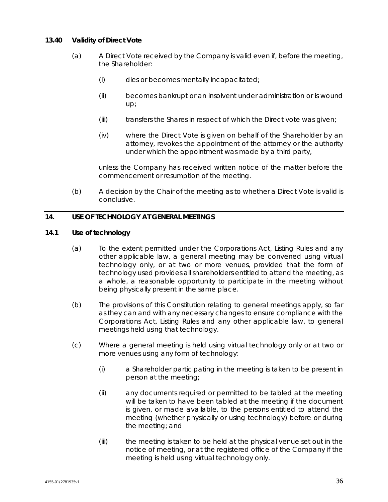# <span id="page-43-0"></span>**13.40 Validity of Direct Vote**

- (a) A Direct Vote received by the Company is valid even if, before the meeting, the Shareholder:
	- (i) dies or becomes mentally incapacitated;
	- (ii) becomes bankrupt or an insolvent under administration or is wound up;
	- (iii) transfers the Shares in respect of which the Direct vote was given;
	- (iv) where the Direct Vote is given on behalf of the Shareholder by an attorney, revokes the appointment of the attorney or the authority under which the appointment was made by a third party,

unless the Company has received written notice of the matter before the commencement or resumption of the meeting.

(b) A decision by the Chair of the meeting as to whether a Direct Vote is valid is conclusive.

# **14. USE OF TECHNOLOGY AT GENERAL MEETINGS**

## **14.1 Use of technology**

- (a) To the extent permitted under the Corporations Act, Listing Rules and any other applicable law, a general meeting may be convened using virtual technology only, or at two or more venues, provided that the form of technology used provides all shareholders entitled to attend the meeting, as a whole, a reasonable opportunity to participate in the meeting without being physically present in the same place.
- (b) The provisions of this Constitution relating to general meetings apply, so far as they can and with any necessary changes to ensure compliance with the Corporations Act, Listing Rules and any other applicable law, to general meetings held using that technology.
- (c) Where a general meeting is held using virtual technology only or at two or more venues using any form of technology:
	- (i) a Shareholder participating in the meeting is taken to be present in person at the meeting;
	- (ii) any documents required or permitted to be tabled at the meeting will be taken to have been tabled at the meeting if the document is given, or made available, to the persons entitled to attend the meeting (whether physically or using technology) before or during the meeting; and
	- (iii) the meeting is taken to be held at the physical venue set out in the notice of meeting, or at the registered office of the Company if the meeting is held using virtual technology only.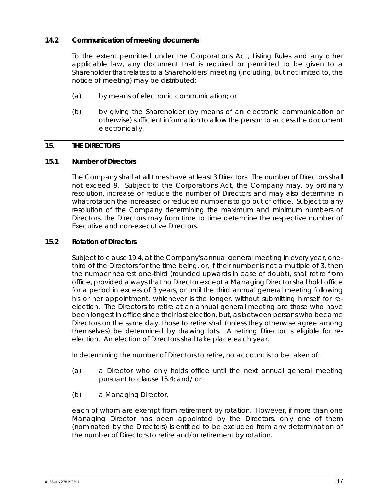# **14.2 Communication of meeting documents**

To the extent permitted under the Corporations Act, Listing Rules and any other applicable law, any document that is required or permitted to be given to a Shareholder that relates to a Shareholders' meeting (including, but not limited to, the notice of meeting) may be distributed:

- (a) by means of electronic communication; or
- (b) by giving the Shareholder (by means of an electronic communication or otherwise) sufficient information to allow the person to access the document electronically.

## **15. THE DIRECTORS**

## **15.1 Number of Directors**

The Company shall at all times have at least 3 Directors. The number of Directors shall not exceed 9. Subject to the Corporations Act, the Company may, by ordinary resolution, increase or reduce the number of Directors and may also determine in what rotation the increased or reduced number is to go out of office. Subject to any resolution of the Company determining the maximum and minimum numbers of Directors, the Directors may from time to time determine the respective number of Executive and non-executive Directors.

## <span id="page-44-0"></span>**15.2 Rotation of Directors**

Subject to clause [19.4,](#page-54-0) at the Company's annual general meeting in every year, onethird of the Directors for the time being, or, if their number is not a multiple of 3, then the number nearest one-third (rounded upwards in case of doubt), shall retire from office, provided always that no Director except a Managing Director shall hold office for a period in excess of 3 years, or until the third annual general meeting following his or her appointment, whichever is the longer, without submitting himself for reelection. The Directors to retire at an annual general meeting are those who have been longest in office since their last election, but, as between persons who became Directors on the same day, those to retire shall (unless they otherwise agree among themselves) be determined by drawing lots. A retiring Director is eligible for reelection. An election of Directors shall take place each year.

In determining the number of Directors to retire, no account is to be taken of:

- (a) a Director who only holds office until the next annual general meeting pursuant to clause [15.4;](#page-45-0) and/ or
- (b) a Managing Director,

each of whom are exempt from retirement by rotation. However, if more than one Managing Director has been appointed by the Directors, only one of them (nominated by the Directors) is entitled to be excluded from any determination of the number of Directors to retire and/or retirement by rotation.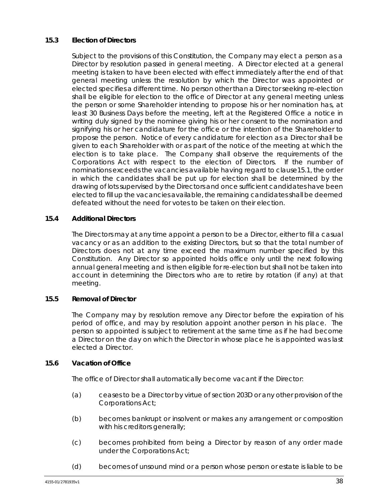# **15.3 Election of Directors**

Subject to the provisions of this Constitution, the Company may elect a person as a Director by resolution passed in general meeting. A Director elected at a general meeting is taken to have been elected with effect immediately after the end of that general meeting unless the resolution by which the Director was appointed or elected specifies a different time. No person other than a Director seeking re-election shall be eligible for election to the office of Director at any general meeting unless the person or some Shareholder intending to propose his or her nomination has, at least 30 Business Days before the meeting, left at the Registered Office a notice in writing duly signed by the nominee giving his or her consent to the nomination and signifying his or her candidature for the office or the intention of the Shareholder to propose the person. Notice of every candidature for election as a Director shall be given to each Shareholder with or as part of the notice of the meeting at which the election is to take place. The Company shall observe the requirements of the Corporations Act with respect to the election of Directors. If the number of nominations exceeds the vacancies available having regard to clause15.1, the order in which the candidates shall be put up for election shall be determined by the drawing of lots supervised by the Directors and once sufficient candidates have been elected to fill up the vacancies available, the remaining candidates shall be deemed defeated without the need for votes to be taken on their election.

# <span id="page-45-0"></span>**15.4 Additional Directors**

The Directors may at any time appoint a person to be a Director, either to fill a casual vacancy or as an addition to the existing Directors, but so that the total number of Directors does not at any time exceed the maximum number specified by this Constitution. Any Director so appointed holds office only until the next following annual general meeting and is then eligible for re-election but shall not be taken into account in determining the Directors who are to retire by rotation (if any) at that meeting.

# <span id="page-45-1"></span>**15.5 Removal of Director**

The Company may by resolution remove any Director before the expiration of his period of office, and may by resolution appoint another person in his place. The person so appointed is subject to retirement at the same time as if he had become a Director on the day on which the Director in whose place he is appointed was last elected a Director.

## **15.6 Vacation of Office**

The office of Director shall automatically become vacant if the Director:

- (a) ceases to be a Director by virtue of section 203D or any other provision of the Corporations Act;
- (b) becomes bankrupt or insolvent or makes any arrangement or composition with his creditors generally;
- (c) becomes prohibited from being a Director by reason of any order made under the Corporations Act;
- (d) becomes of unsound mind or a person whose person or estate is liable to be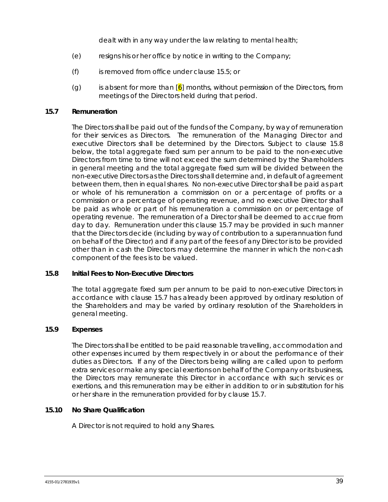dealt with in any way under the law relating to mental health;

- (e) resigns his or her office by notice in writing to the Company;
- (f) is removed from office under clause [15.5;](#page-45-1) or
- (g) is absent for more than  $[6]$  months, without permission of the Directors, from meetings of the Directors held during that period.

## <span id="page-46-1"></span>**15.7 Remuneration**

The Directors shall be paid out of the funds of the Company, by way of remuneration for their services as Directors. The remuneration of the Managing Director and executive Directors shall be determined by the Directors. Subject to clause [15.8](#page-46-0) below, the total aggregate fixed sum per annum to be paid to the non-executive Directors from time to time will not exceed the sum determined by the Shareholders in general meeting and the total aggregate fixed sum will be divided between the non-executive Directors as the Directors shall determine and, in default of agreement between them, then in equal shares. No non-executive Director shall be paid as part or whole of his remuneration a commission on or a percentage of profits or a commission or a percentage of operating revenue, and no executive Director shall be paid as whole or part of his remuneration a commission on or percentage of operating revenue. The remuneration of a Director shall be deemed to accrue from day to day. Remuneration under this clause [15.7](#page-46-1) may be provided in such manner that the Directors decide (including by way of contribution to a superannuation fund on behalf of the Director) and if any part of the fees of any Director is to be provided other than in cash the Directors may determine the manner in which the non-cash component of the fees is to be valued.

## <span id="page-46-0"></span>**15.8 Initial Fees to Non-Executive Directors**

The total aggregate fixed sum per annum to be paid to non-executive Directors in accordance with clause [15.7](#page-46-1) has already been approved by ordinary resolution of the Shareholders and may be varied by ordinary resolution of the Shareholders in general meeting.

## **15.9 Expenses**

The Directors shall be entitled to be paid reasonable travelling, accommodation and other expenses incurred by them respectively in or about the performance of their duties as Directors. If any of the Directors being willing are called upon to perform extra services or make any special exertions on behalf of the Company or its business, the Directors may remunerate this Director in accordance with such services or exertions, and this remuneration may be either in addition to or in substitution for his or her share in the remuneration provided for by clause [15.7.](#page-46-1)

## **15.10 No Share Qualification**

A Director is not required to hold any Shares.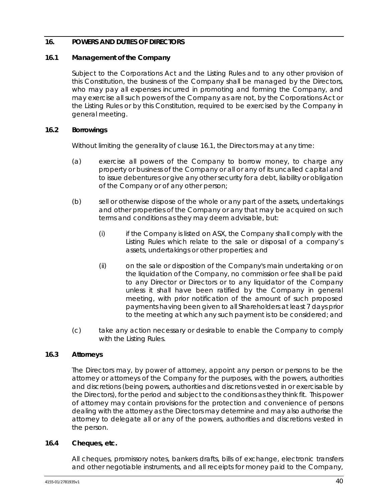# **16. POWERS AND DUTIES OF DIRECTORS**

## <span id="page-47-0"></span>**16.1 Management of the Company**

Subject to the Corporations Act and the Listing Rules and to any other provision of this Constitution, the business of the Company shall be managed by the Directors, who may pay all expenses incurred in promoting and forming the Company, and may exercise all such powers of the Company as are not, by the Corporations Act or the Listing Rules or by this Constitution, required to be exercised by the Company in general meeting.

## **16.2 Borrowings**

Without limiting the generality of clause [16.1,](#page-47-0) the Directors may at any time:

- (a) exercise all powers of the Company to borrow money, to charge any property or business of the Company or all or any of its uncalled capital and to issue debentures or give any other security for a debt, liability or obligation of the Company or of any other person;
- (b) sell or otherwise dispose of the whole or any part of the assets, undertakings and other properties of the Company or any that may be acquired on such terms and conditions as they may deem advisable, but:
	- (i) if the Company is listed on ASX, the Company shall comply with the Listing Rules which relate to the sale or disposal of a company's assets, undertakings or other properties; and
	- (ii) on the sale or disposition of the Company's main undertaking or on the liquidation of the Company, no commission or fee shall be paid to any Director or Directors or to any liquidator of the Company unless it shall have been ratified by the Company in general meeting, with prior notification of the amount of such proposed payments having been given to all Shareholders at least 7 days prior to the meeting at which any such payment is to be considered; and
- (c) take any action necessary or desirable to enable the Company to comply with the Listing Rules.

# **16.3 Attorneys**

The Directors may, by power of attorney, appoint any person or persons to be the attorney or attorneys of the Company for the purposes, with the powers, authorities and discretions (being powers, authorities and discretions vested in or exercisable by the Directors), for the period and subject to the conditions as they think fit. This power of attorney may contain provisions for the protection and convenience of persons dealing with the attorney as the Directors may determine and may also authorise the attorney to delegate all or any of the powers, authorities and discretions vested in the person.

## **16.4 Cheques, etc.**

All cheques, promissory notes, bankers drafts, bills of exchange, electronic transfers and other negotiable instruments, and all receipts for money paid to the Company,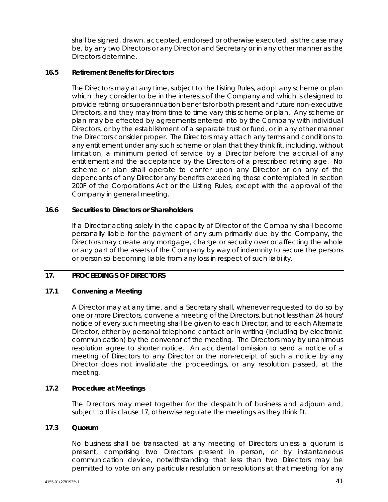shall be signed, drawn, accepted, endorsed or otherwise executed, as the case may be, by any two Directors or any Director and Secretary or in any other manner as the Directors determine.

## **16.5 Retirement Benefits for Directors**

The Directors may at any time, subject to the Listing Rules, adopt any scheme or plan which they consider to be in the interests of the Company and which is designed to provide retiring or superannuation benefits for both present and future non-executive Directors, and they may from time to time vary this scheme or plan. Any scheme or plan may be effected by agreements entered into by the Company with individual Directors, or by the establishment of a separate trust or fund, or in any other manner the Directors consider proper. The Directors may attach any terms and conditions to any entitlement under any such scheme or plan that they think fit, including, without limitation, a minimum period of service by a Director before the accrual of any entitlement and the acceptance by the Directors of a prescribed retiring age. No scheme or plan shall operate to confer upon any Director or on any of the dependants of any Director any benefits exceeding those contemplated in section 200F of the Corporations Act or the Listing Rules, except with the approval of the Company in general meeting.

## **16.6 Securities to Directors or Shareholders**

If a Director acting solely in the capacity of Director of the Company shall become personally liable for the payment of any sum primarily due by the Company, the Directors may create any mortgage, charge or security over or affecting the whole or any part of the assets of the Company by way of indemnity to secure the persons or person so becoming liable from any loss in respect of such liability.

# <span id="page-48-0"></span>**17. PROCEEDINGS OF DIRECTORS**

# **17.1 Convening a Meeting**

A Director may at any time, and a Secretary shall, whenever requested to do so by one or more Directors, convene a meeting of the Directors, but not less than 24 hours' notice of every such meeting shall be given to each Director, and to each Alternate Director, either by personal telephone contact or in writing (including by electronic communication) by the convenor of the meeting. The Directors may by unanimous resolution agree to shorter notice. An accidental omission to send a notice of a meeting of Directors to any Director or the non-receipt of such a notice by any Director does not invalidate the proceedings, or any resolution passed, at the meeting.

# **17.2 Procedure at Meetings**

The Directors may meet together for the despatch of business and adjourn and, subject to this clause [17,](#page-48-0) otherwise regulate the meetings as they think fit.

# **17.3 Quorum**

No business shall be transacted at any meeting of Directors unless a quorum is present, comprising two Directors present in person, or by instantaneous communication device, notwithstanding that less than two Directors may be permitted to vote on any particular resolution or resolutions at that meeting for any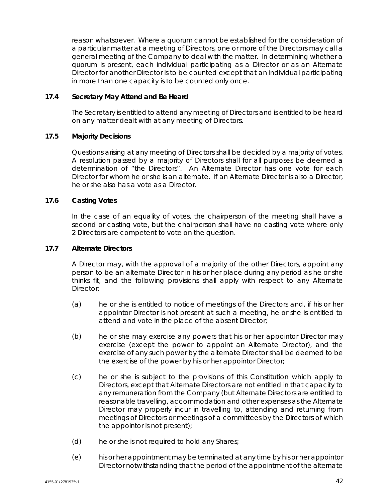reason whatsoever. Where a quorum cannot be established for the consideration of a particular matter at a meeting of Directors, one or more of the Directors may call a general meeting of the Company to deal with the matter. In determining whether a quorum is present, each individual participating as a Director or as an Alternate Director for another Director is to be counted except that an individual participating in more than one capacity is to be counted only once.

## **17.4 Secretary May Attend and Be Heard**

The Secretary is entitled to attend any meeting of Directors and is entitled to be heard on any matter dealt with at any meeting of Directors.

# **17.5 Majority Decisions**

Questions arising at any meeting of Directors shall be decided by a majority of votes. A resolution passed by a majority of Directors shall for all purposes be deemed a determination of "the Directors". An Alternate Director has one vote for each Director for whom he or she is an alternate. If an Alternate Director is also a Director, he or she also has a vote as a Director.

## **17.6 Casting Votes**

In the case of an equality of votes, the chairperson of the meeting shall have a second or casting vote, but the chairperson shall have no casting vote where only 2 Directors are competent to vote on the question.

## **17.7 Alternate Directors**

A Director may, with the approval of a majority of the other Directors, appoint any person to be an alternate Director in his or her place during any period as he or she thinks fit, and the following provisions shall apply with respect to any Alternate Director:

- (a) he or she is entitled to notice of meetings of the Directors and, if his or her appointor Director is not present at such a meeting, he or she is entitled to attend and vote in the place of the absent Director;
- (b) he or she may exercise any powers that his or her appointor Director may exercise (except the power to appoint an Alternate Director), and the exercise of any such power by the alternate Director shall be deemed to be the exercise of the power by his or her appointor Director;
- (c) he or she is subject to the provisions of this Constitution which apply to Directors, except that Alternate Directors are not entitled in that capacity to any remuneration from the Company (but Alternate Directors are entitled to reasonable travelling, accommodation and other expenses as the Alternate Director may properly incur in travelling to, attending and returning from meetings of Directors or meetings of a committees by the Directors of which the appointor is not present);
- (d) he or she is not required to hold any Shares;
- (e) his or her appointment may be terminated at any time by his or her appointor Director notwithstanding that the period of the appointment of the alternate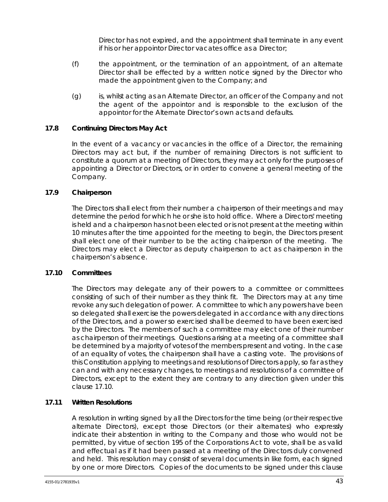Director has not expired, and the appointment shall terminate in any event if his or her appointor Director vacates office as a Director;

- (f) the appointment, or the termination of an appointment, of an alternate Director shall be effected by a written notice signed by the Director who made the appointment given to the Company; and
- (g) is, whilst acting as an Alternate Director, an officer of the Company and not the agent of the appointor and is responsible to the exclusion of the appointor for the Alternate Director's own acts and defaults.

# **17.8 Continuing Directors May Act**

In the event of a vacancy or vacancies in the office of a Director, the remaining Directors may act but, if the number of remaining Directors is not sufficient to constitute a quorum at a meeting of Directors, they may act only for the purposes of appointing a Director or Directors, or in order to convene a general meeting of the Company.

## **17.9 Chairperson**

The Directors shall elect from their number a chairperson of their meetings and may determine the period for which he or she is to hold office. Where a Directors' meeting is held and a chairperson has not been elected or is not present at the meeting within 10 minutes after the time appointed for the meeting to begin, the Directors present shall elect one of their number to be the acting chairperson of the meeting. The Directors may elect a Director as deputy chairperson to act as chairperson in the chairperson's absence.

## <span id="page-50-0"></span>**17.10 Committees**

The Directors may delegate any of their powers to a committee or committees consisting of such of their number as they think fit. The Directors may at any time revoke any such delegation of power. A committee to which any powers have been so delegated shall exercise the powers delegated in accordance with any directions of the Directors, and a power so exercised shall be deemed to have been exercised by the Directors. The members of such a committee may elect one of their number as chairperson of their meetings. Questions arising at a meeting of a committee shall be determined by a majority of votes of the members present and voting. In the case of an equality of votes, the chairperson shall have a casting vote. The provisions of this Constitution applying to meetings and resolutions of Directors apply, so far as they can and with any necessary changes, to meetings and resolutions of a committee of Directors, except to the extent they are contrary to any direction given under this clause [17.10.](#page-50-0)

# **17.11 Written Resolutions**

A resolution in writing signed by all the Directors for the time being (or their respective alternate Directors), except those Directors (or their alternates) who expressly indicate their abstention in writing to the Company and those who would not be permitted, by virtue of section 195 of the Corporations Act to vote, shall be as valid and effectual as if it had been passed at a meeting of the Directors duly convened and held. This resolution may consist of several documents in like form, each signed by one or more Directors. Copies of the documents to be signed under this clause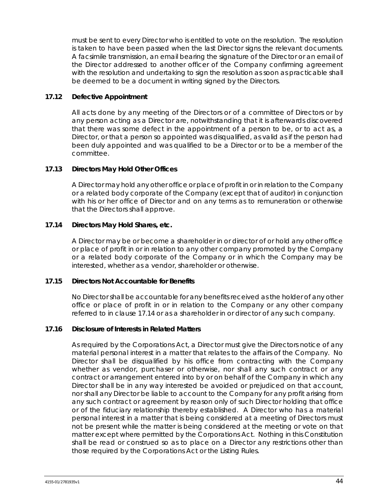must be sent to every Director who is entitled to vote on the resolution. The resolution is taken to have been passed when the last Director signs the relevant documents. A facsimile transmission, an email bearing the signature of the Director or an email of the Director addressed to another officer of the Company confirming agreement with the resolution and undertaking to sign the resolution as soon as practicable shall be deemed to be a document in writing signed by the Directors.

## **17.12 Defective Appointment**

All acts done by any meeting of the Directors or of a committee of Directors or by any person acting as a Director are, notwithstanding that it is afterwards discovered that there was some defect in the appointment of a person to be, or to act as, a Director, or that a person so appointed was disqualified, as valid as if the person had been duly appointed and was qualified to be a Director or to be a member of the committee.

# **17.13 Directors May Hold Other Offices**

A Director may hold any other office or place of profit in or in relation to the Company or a related body corporate of the Company (except that of auditor) in conjunction with his or her office of Director and on any terms as to remuneration or otherwise that the Directors shall approve.

## <span id="page-51-0"></span>**17.14 Directors May Hold Shares, etc.**

A Director may be or become a shareholder in or director of or hold any other office or place of profit in or in relation to any other company promoted by the Company or a related body corporate of the Company or in which the Company may be interested, whether as a vendor, shareholder or otherwise.

## **17.15 Directors Not Accountable for Benefits**

No Director shall be accountable for any benefits received as the holder of any other office or place of profit in or in relation to the Company or any other company referred to in clause [17.14](#page-51-0) or as a shareholder in or director of any such company.

## **17.16 Disclosure of Interests in Related Matters**

As required by the Corporations Act, a Director must give the Directors notice of any material personal interest in a matter that relates to the affairs of the Company. No Director shall be disqualified by his office from contracting with the Company whether as vendor, purchaser or otherwise, nor shall any such contract or any contract or arrangement entered into by or on behalf of the Company in which any Director shall be in any way interested be avoided or prejudiced on that account, nor shall any Director be liable to account to the Company for any profit arising from any such contract or agreement by reason only of such Director holding that office or of the fiduciary relationship thereby established. A Director who has a material personal interest in a matter that is being considered at a meeting of Directors must not be present while the matter is being considered at the meeting or vote on that matter except where permitted by the Corporations Act. Nothing in this Constitution shall be read or construed so as to place on a Director any restrictions other than those required by the Corporations Act or the Listing Rules.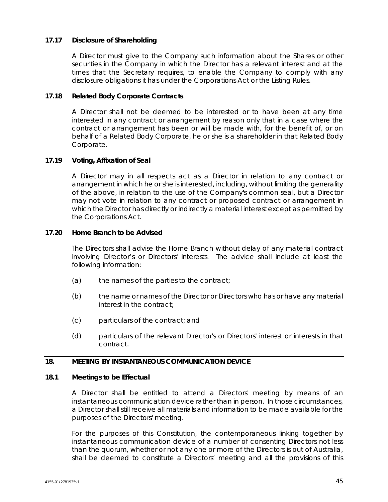## **17.17 Disclosure of Shareholding**

A Director must give to the Company such information about the Shares or other securities in the Company in which the Director has a relevant interest and at the times that the Secretary requires, to enable the Company to comply with any disclosure obligations it has under the Corporations Act or the Listing Rules.

## **17.18 Related Body Corporate Contracts**

A Director shall not be deemed to be interested or to have been at any time interested in any contract or arrangement by reason only that in a case where the contract or arrangement has been or will be made with, for the benefit of, or on behalf of a Related Body Corporate, he or she is a shareholder in that Related Body Corporate.

## **17.19 Voting, Affixation of Seal**

A Director may in all respects act as a Director in relation to any contract or arrangement in which he or she is interested, including, without limiting the generality of the above, in relation to the use of the Company's common seal, but a Director may not vote in relation to any contract or proposed contract or arrangement in which the Director has directly or indirectly a material interest except as permitted by the Corporations Act.

## **17.20 Home Branch to be Advised**

The Directors shall advise the Home Branch without delay of any material contract involving Director's or Directors' interests. The advice shall include at least the following information:

- $(a)$  the names of the parties to the contract;
- (b) the name or names of the Director or Directors who has or have any material interest in the contract;
- (c) particulars of the contract; and
- (d) particulars of the relevant Director's or Directors' interest or interests in that contract.

## **18. MEETING BY INSTANTANEOUS COMMUNICATION DEVICE**

## <span id="page-52-0"></span>**18.1 Meetings to be Effectual**

A Director shall be entitled to attend a Directors' meeting by means of an instantaneous communication device rather than in person. In those circumstances, a Director shall still receive all materials and information to be made available for the purposes of the Directors' meeting.

For the purposes of this Constitution, the contemporaneous linking together by instantaneous communication device of a number of consenting Directors not less than the quorum, whether or not any one or more of the Directors is out of Australia, shall be deemed to constitute a Directors' meeting and all the provisions of this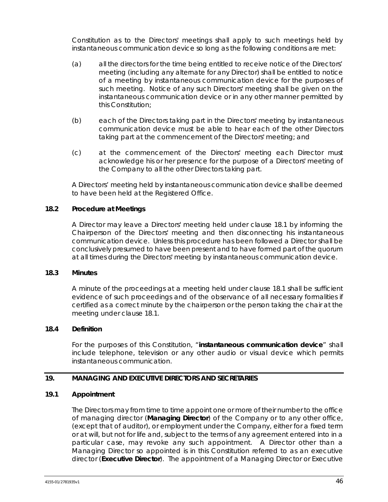Constitution as to the Directors' meetings shall apply to such meetings held by instantaneous communication device so long as the following conditions are met:

- (a) all the directors for the time being entitled to receive notice of the Directors' meeting (including any alternate for any Director) shall be entitled to notice of a meeting by instantaneous communication device for the purposes of such meeting. Notice of any such Directors' meeting shall be given on the instantaneous communication device or in any other manner permitted by this Constitution;
- (b) each of the Directors taking part in the Directors' meeting by instantaneous communication device must be able to hear each of the other Directors taking part at the commencement of the Directors' meeting; and
- (c) at the commencement of the Directors' meeting each Director must acknowledge his or her presence for the purpose of a Directors' meeting of the Company to all the other Directors taking part.

A Directors' meeting held by instantaneous communication device shall be deemed to have been held at the Registered Office.

# **18.2 Procedure at Meetings**

A Director may leave a Directors' meeting held under clause [18.1](#page-52-0) by informing the Chairperson of the Directors' meeting and then disconnecting his instantaneous communication device. Unless this procedure has been followed a Director shall be conclusively presumed to have been present and to have formed part of the quorum at all times during the Directors' meeting by instantaneous communication device.

## **18.3 Minutes**

A minute of the proceedings at a meeting held under clause [18.1](#page-52-0) shall be sufficient evidence of such proceedings and of the observance of all necessary formalities if certified as a correct minute by the chairperson or the person taking the chair at the meeting under clause [18.1.](#page-52-0)

## **18.4 Definition**

For the purposes of this Constitution, "**instantaneous communication device**" shall include telephone, television or any other audio or visual device which permits instantaneous communication.

# **19. MANAGING AND EXECUTIVE DIRECTORS AND SECRETARIES**

## **19.1 Appointment**

The Directors may from time to time appoint one or more of their number to the office of managing director (**Managing Director**) of the Company or to any other office, (except that of auditor), or employment under the Company, either for a fixed term or at will, but not for life and, subject to the terms of any agreement entered into in a particular case, may revoke any such appointment. A Director other than a Managing Director so appointed is in this Constitution referred to as an executive director (**Executive Director**). The appointment of a Managing Director or Executive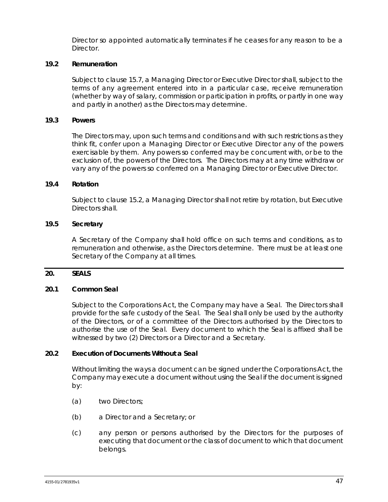Director so appointed automatically terminates if he ceases for any reason to be a Director.

## **19.2 Remuneration**

Subject to clause [15.7,](#page-46-1) a Managing Director or Executive Director shall, subject to the terms of any agreement entered into in a particular case, receive remuneration (whether by way of salary, commission or participation in profits, or partly in one way and partly in another) as the Directors may determine.

## **19.3 Powers**

The Directors may, upon such terms and conditions and with such restrictions as they think fit, confer upon a Managing Director or Executive Director any of the powers exercisable by them. Any powers so conferred may be concurrent with, or be to the exclusion of, the powers of the Directors. The Directors may at any time withdraw or vary any of the powers so conferred on a Managing Director or Executive Director.

## <span id="page-54-0"></span>**19.4 Rotation**

Subject to claus[e 15.2,](#page-44-0) a Managing Director shall not retire by rotation, but Executive Directors shall.

# **19.5 Secretary**

A Secretary of the Company shall hold office on such terms and conditions, as to remuneration and otherwise, as the Directors determine. There must be at least one Secretary of the Company at all times.

## **20. SEALS**

## <span id="page-54-1"></span>**20.1 Common Seal**

Subject to the Corporations Act, the Company may have a Seal. The Directors shall provide for the safe custody of the Seal. The Seal shall only be used by the authority of the Directors, or of a committee of the Directors authorised by the Directors to authorise the use of the Seal. Every document to which the Seal is affixed shall be witnessed by two (2) Directors or a Director and a Secretary.

## **20.2 Execution of Documents Without a Seal**

Without limiting the ways a document can be signed under the Corporations Act, the Company may execute a document without using the Seal if the document is signed by:

- (a) two Directors;
- (b) a Director and a Secretary; or
- (c) any person or persons authorised by the Directors for the purposes of executing that document or the class of document to which that document belongs.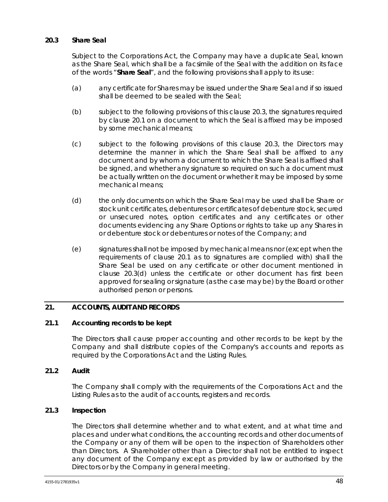## <span id="page-55-0"></span>**20.3 Share Seal**

Subject to the Corporations Act, the Company may have a duplicate Seal, known as the Share Seal, which shall be a facsimile of the Seal with the addition on its face of the words "**Share Seal**", and the following provisions shall apply to its use:

- (a) any certificate for Shares may be issued under the Share Seal and if so issued shall be deemed to be sealed with the Seal;
- (b) subject to the following provisions of this clause [20.3,](#page-55-0) the signatures required by clause [20.1](#page-54-1) on a document to which the Seal is affixed may be imposed by some mechanical means;
- (c) subject to the following provisions of this clause [20.3,](#page-55-0) the Directors may determine the manner in which the Share Seal shall be affixed to any document and by whom a document to which the Share Seal is affixed shall be signed, and whether any signature so required on such a document must be actually written on the document or whether it may be imposed by some mechanical means;
- <span id="page-55-1"></span>(d) the only documents on which the Share Seal may be used shall be Share or stock unit certificates, debentures or certificates of debenture stock, secured or unsecured notes, option certificates and any certificates or other documents evidencing any Share Options or rights to take up any Shares in or debenture stock or debentures or notes of the Company; and
- (e) signatures shall not be imposed by mechanical means nor (except when the requirements of clause [20.1](#page-54-1) as to signatures are complied with) shall the Share Seal be used on any certificate or other document mentioned in clause [20.3](#page-55-0)[\(d\)](#page-55-1) unless the certificate or other document has first been approved for sealing or signature (as the case may be) by the Board or other authorised person or persons.

# **21. ACCOUNTS, AUDIT AND RECORDS**

## **21.1 Accounting records to be kept**

The Directors shall cause proper accounting and other records to be kept by the Company and shall distribute copies of the Company's accounts and reports as required by the Corporations Act and the Listing Rules.

## **21.2 Audit**

The Company shall comply with the requirements of the Corporations Act and the Listing Rules as to the audit of accounts, registers and records.

## **21.3 Inspection**

The Directors shall determine whether and to what extent, and at what time and places and under what conditions, the accounting records and other documents of the Company or any of them will be open to the inspection of Shareholders other than Directors. A Shareholder other than a Director shall not be entitled to inspect any document of the Company except as provided by law or authorised by the Directors or by the Company in general meeting.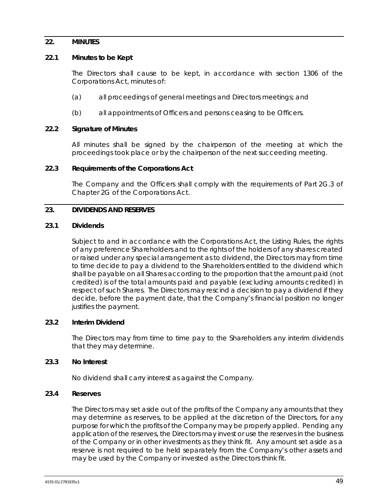# **22. MINUTES**

## **22.1 Minutes to be Kept**

The Directors shall cause to be kept, in accordance with section 1306 of the Corporations Act, minutes of:

- (a) all proceedings of general meetings and Directors meetings; and
- (b) all appointments of Officers and persons ceasing to be Officers.

## **22.2 Signature of Minutes**

All minutes shall be signed by the chairperson of the meeting at which the proceedings took place or by the chairperson of the next succeeding meeting.

## **22.3 Requirements of the Corporations Act**

The Company and the Officers shall comply with the requirements of Part 2G.3 of Chapter 2G of the Corporations Act.

# <span id="page-56-0"></span>**23. DIVIDENDS AND RESERVES**

#### **23.1 Dividends**

Subject to and in accordance with the Corporations Act, the Listing Rules, the rights of any preference Shareholders and to the rights of the holders of any shares created or raised under any special arrangement as to dividend, the Directors may from time to time decide to pay a dividend to the Shareholders entitled to the dividend which shall be payable on all Shares according to the proportion that the amount paid (not credited) is of the total amounts paid and payable (excluding amounts credited) in respect of such Shares. The Directors may rescind a decision to pay a dividend if they decide, before the payment date, that the Company's financial position no longer justifies the payment.

## **23.2 Interim Dividend**

The Directors may from time to time pay to the Shareholders any interim dividends that they may determine.

## **23.3 No Interest**

No dividend shall carry interest as against the Company.

## **23.4 Reserves**

The Directors may set aside out of the profits of the Company any amounts that they may determine as reserves, to be applied at the discretion of the Directors, for any purpose for which the profits of the Company may be properly applied. Pending any application of the reserves, the Directors may invest or use the reserves in the business of the Company or in other investments as they think fit. Any amount set aside as a reserve is not required to be held separately from the Company's other assets and may be used by the Company or invested as the Directors think fit.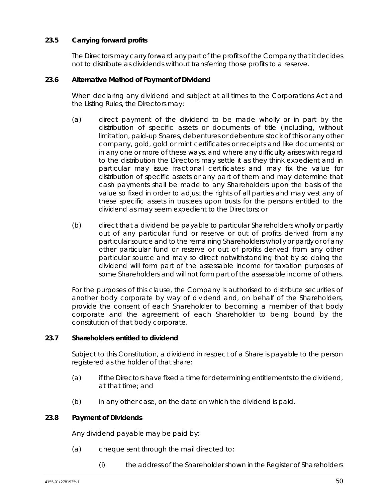# **23.5 Carrying forward profits**

The Directors may carry forward any part of the profits of the Company that it decides not to distribute as dividends without transferring those profits to a reserve.

## **23.6 Alternative Method of Payment of Dividend**

When declaring any dividend and subject at all times to the Corporations Act and the Listing Rules, the Directors may:

- (a) direct payment of the dividend to be made wholly or in part by the distribution of specific assets or documents of title (including, without limitation, paid-up Shares, debentures or debenture stock of this or any other company, gold, gold or mint certificates or receipts and like documents) or in any one or more of these ways, and where any difficulty arises with regard to the distribution the Directors may settle it as they think expedient and in particular may issue fractional certificates and may fix the value for distribution of specific assets or any part of them and may determine that cash payments shall be made to any Shareholders upon the basis of the value so fixed in order to adjust the rights of all parties and may vest any of these specific assets in trustees upon trusts for the persons entitled to the dividend as may seem expedient to the Directors; or
- (b) direct that a dividend be payable to particular Shareholders wholly or partly out of any particular fund or reserve or out of profits derived from any particular source and to the remaining Shareholders wholly or partly or of any other particular fund or reserve or out of profits derived from any other particular source and may so direct notwithstanding that by so doing the dividend will form part of the assessable income for taxation purposes of some Shareholders and will not form part of the assessable income of others.

For the purposes of this clause, the Company is authorised to distribute securities of another body corporate by way of dividend and, on behalf of the Shareholders, provide the consent of each Shareholder to becoming a member of that body corporate and the agreement of each Shareholder to being bound by the constitution of that body corporate.

## **23.7 Shareholders entitled to dividend**

Subject to this Constitution, a dividend in respect of a Share is payable to the person registered as the holder of that share:

- (a) if the Directors have fixed a time for determining entitlements to the dividend, at that time; and
- (b) in any other case, on the date on which the dividend is paid.

## **23.8 Payment of Dividends**

Any dividend payable may be paid by:

- (a) cheque sent through the mail directed to:
	- (i) the address of the Shareholder shown in the Register of Shareholders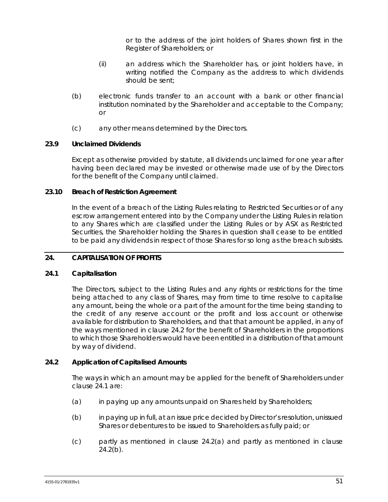or to the address of the joint holders of Shares shown first in the Register of Shareholders; or

- (ii) an address which the Shareholder has, or joint holders have, in writing notified the Company as the address to which dividends should be sent;
- (b) electronic funds transfer to an account with a bank or other financial institution nominated by the Shareholder and acceptable to the Company; or
- (c) any other means determined by the Directors.

## **23.9 Unclaimed Dividends**

Except as otherwise provided by statute, all dividends unclaimed for one year after having been declared may be invested or otherwise made use of by the Directors for the benefit of the Company until claimed.

# **23.10 Breach of Restriction Agreement**

In the event of a breach of the Listing Rules relating to Restricted Securities or of any escrow arrangement entered into by the Company under the Listing Rules in relation to any Shares which are classified under the Listing Rules or by ASX as Restricted Securities, the Shareholder holding the Shares in question shall cease to be entitled to be paid any dividends in respect of those Shares for so long as the breach subsists.

# **24. CAPITALISATION OF PROFITS**

## <span id="page-58-1"></span>**24.1 Capitalisation**

The Directors, subject to the Listing Rules and any rights or restrictions for the time being attached to any class of Shares, may from time to time resolve to capitalise any amount, being the whole or a part of the amount for the time being standing to the credit of any reserve account or the profit and loss account or otherwise available for distribution to Shareholders, and that that amount be applied, in any of the ways mentioned in clause [24.2](#page-58-0) for the benefit of Shareholders in the proportions to which those Shareholders would have been entitled in a distribution of that amount by way of dividend.

# <span id="page-58-0"></span>**24.2 Application of Capitalised Amounts**

The ways in which an amount may be applied for the benefit of Shareholders under claus[e 24.1](#page-58-1) are:

- <span id="page-58-2"></span>(a) in paying up any amounts unpaid on Shares held by Shareholders;
- <span id="page-58-3"></span>(b) in paying up in full, at an issue price decided by Director's resolution, unissued Shares or debentures to be issued to Shareholders as fully paid; or
- (c) partly as mentioned in clause [24.2\(a\)](#page-58-2) and partly as mentioned in clause  $24.2(b)$ .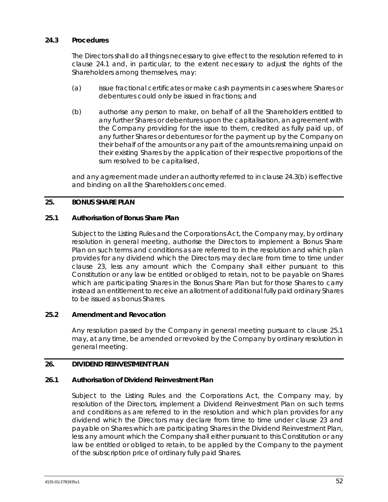# **24.3 Procedures**

The Directors shall do all things necessary to give effect to the resolution referred to in clause [24.1](#page-58-1) and, in particular, to the extent necessary to adjust the rights of the Shareholders among themselves, may:

- (a) issue fractional certificates or make cash payments in cases where Shares or debentures could only be issued in fractions; and
- <span id="page-59-0"></span>(b) authorise any person to make, on behalf of all the Shareholders entitled to any further Shares or debentures upon the capitalisation, an agreement with the Company providing for the issue to them, credited as fully paid up, of any further Shares or debentures or for the payment up by the Company on their behalf of the amounts or any part of the amounts remaining unpaid on their existing Shares by the application of their respective proportions of the sum resolved to be capitalised,

and any agreement made under an authority referred to in clause [24.3\(b\)](#page-59-0) is effective and binding on all the Shareholders concerned.

# **25. BONUS SHARE PLAN**

## <span id="page-59-1"></span>**25.1 Authorisation of Bonus Share Plan**

Subject to the Listing Rules and the Corporations Act, the Company may, by ordinary resolution in general meeting, authorise the Directors to implement a Bonus Share Plan on such terms and conditions as are referred to in the resolution and which plan provides for any dividend which the Directors may declare from time to time under clause [23,](#page-56-0) less any amount which the Company shall either pursuant to this Constitution or any law be entitled or obliged to retain, not to be payable on Shares which are participating Shares in the Bonus Share Plan but for those Shares to carry instead an entitlement to receive an allotment of additional fully paid ordinary Shares to be issued as bonus Shares.

## **25.2 Amendment and Revocation**

Any resolution passed by the Company in general meeting pursuant to clause [25.1](#page-59-1) may, at any time, be amended or revoked by the Company by ordinary resolution in general meeting.

# **26. DIVIDEND REINVESTMENT PLAN**

## <span id="page-59-2"></span>**26.1 Authorisation of Dividend Reinvestment Plan**

Subject to the Listing Rules and the Corporations Act, the Company may, by resolution of the Directors, implement a Dividend Reinvestment Plan on such terms and conditions as are referred to in the resolution and which plan provides for any dividend which the Directors may declare from time to time under clause [23](#page-56-0) and payable on Shares which are participating Shares in the Dividend Reinvestment Plan, less any amount which the Company shall either pursuant to this Constitution or any law be entitled or obliged to retain, to be applied by the Company to the payment of the subscription price of ordinary fully paid Shares.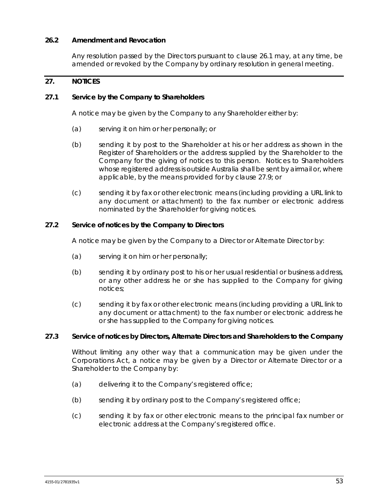# **26.2 Amendment and Revocation**

Any resolution passed by the Directors pursuant to clause [26.1](#page-59-2) may, at any time, be amended or revoked by the Company by ordinary resolution in general meeting.

# **27. NOTICES**

## **27.1 Service by the Company to Shareholders**

A notice may be given by the Company to any Shareholder either by:

- (a) serving it on him or her personally; or
- (b) sending it by post to the Shareholder at his or her address as shown in the Register of Shareholders or the address supplied by the Shareholder to the Company for the giving of notices to this person. Notices to Shareholders whose registered address is outside Australia shall be sent by airmail or, where applicable, by the means provided for by clause [27.9;](#page-62-0) or
- (c) sending it by fax or other electronic means (including providing a URL link to any document or attachment) to the fax number or electronic address nominated by the Shareholder for giving notices.

## **27.2 Service of notices by the Company to Directors**

A notice may be given by the Company to a Director or Alternate Director by:

- (a) serving it on him or her personally;
- (b) sending it by ordinary post to his or her usual residential or business address, or any other address he or she has supplied to the Company for giving notices;
- (c) sending it by fax or other electronic means (including providing a URL link to any document or attachment) to the fax number or electronic address he or she has supplied to the Company for giving notices.

## **27.3 Service of notices by Directors, Alternate Directors and Shareholders to the Company**

Without limiting any other way that a communication may be given under the Corporations Act, a notice may be given by a Director or Alternate Director or a Shareholder to the Company by:

- (a) delivering it to the Company's registered office;
- (b) sending it by ordinary post to the Company's registered office;
- (c) sending it by fax or other electronic means to the principal fax number or electronic address at the Company's registered office.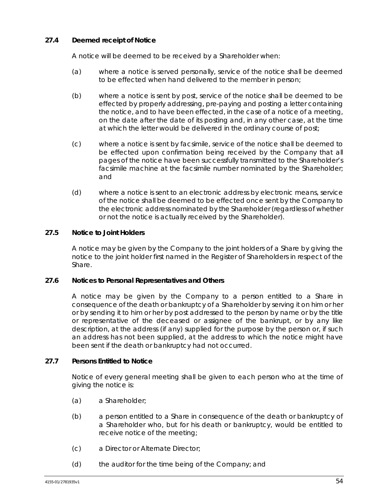# **27.4 Deemed receipt of Notice**

A notice will be deemed to be received by a Shareholder when:

- (a) where a notice is served personally, service of the notice shall be deemed to be effected when hand delivered to the member in person;
- (b) where a notice is sent by post, service of the notice shall be deemed to be effected by properly addressing, pre-paying and posting a letter containing the notice, and to have been effected, in the case of a notice of a meeting, on the date after the date of its posting and, in any other case, at the time at which the letter would be delivered in the ordinary course of post;
- (c) where a notice is sent by facsimile, service of the notice shall be deemed to be effected upon confirmation being received by the Company that all pages of the notice have been successfully transmitted to the Shareholder's facsimile machine at the facsimile number nominated by the Shareholder; and
- (d) where a notice is sent to an electronic address by electronic means, service of the notice shall be deemed to be effected once sent by the Company to the electronic address nominated by the Shareholder (regardless of whether or not the notice is actually received by the Shareholder).

# **27.5 Notice to Joint Holders**

A notice may be given by the Company to the joint holders of a Share by giving the notice to the joint holder first named in the Register of Shareholders in respect of the Share.

# **27.6 Notices to Personal Representatives and Others**

A notice may be given by the Company to a person entitled to a Share in consequence of the death or bankruptcy of a Shareholder by serving it on him or her or by sending it to him or her by post addressed to the person by name or by the title or representative of the deceased or assignee of the bankrupt, or by any like description, at the address (if any) supplied for the purpose by the person or, if such an address has not been supplied, at the address to which the notice might have been sent if the death or bankruptcy had not occurred.

## **27.7 Persons Entitled to Notice**

Notice of every general meeting shall be given to each person who at the time of giving the notice is:

- (a) a Shareholder;
- (b) a person entitled to a Share in consequence of the death or bankruptcy of a Shareholder who, but for his death or bankruptcy, would be entitled to receive notice of the meeting;
- (c) a Director or Alternate Director;
- (d) the auditor for the time being of the Company; and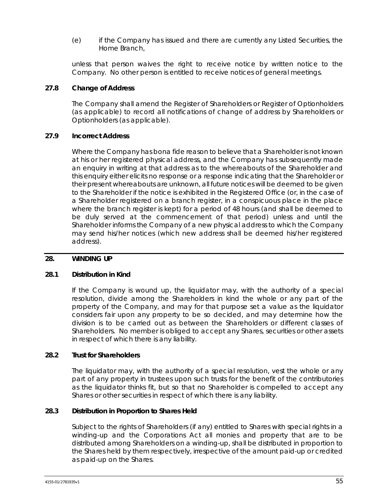(e) if the Company has issued and there are currently any Listed Securities, the Home Branch,

unless that person waives the right to receive notice by written notice to the Company. No other person is entitled to receive notices of general meetings.

## **27.8 Change of Address**

The Company shall amend the Register of Shareholders or Register of Optionholders (as applicable) to record all notifications of change of address by Shareholders or Optionholders (as applicable).

## <span id="page-62-0"></span>**27.9 Incorrect Address**

Where the Company has bona fide reason to believe that a Shareholder is not known at his or her registered physical address, and the Company has subsequently made an enquiry in writing at that address as to the whereabouts of the Shareholder and this enquiry either elicits no response or a response indicating that the Shareholder or their present whereabouts are unknown, all future notices will be deemed to be given to the Shareholder if the notice is exhibited in the Registered Office (or, in the case of a Shareholder registered on a branch register, in a conspicuous place in the place where the branch register is kept) for a period of 48 hours (and shall be deemed to be duly served at the commencement of that period) unless and until the Shareholder informs the Company of a new physical address to which the Company may send his/her notices (which new address shall be deemed his/her registered address).

## **28. WINDING UP**

## **28.1 Distribution in Kind**

If the Company is wound up, the liquidator may, with the authority of a special resolution, divide among the Shareholders in kind the whole or any part of the property of the Company, and may for that purpose set a value as the liquidator considers fair upon any property to be so decided, and may determine how the division is to be carried out as between the Shareholders or different classes of Shareholders. No member is obliged to accept any Shares, securities or other assets in respect of which there is any liability.

## **28.2 Trust for Shareholders**

The liquidator may, with the authority of a special resolution, vest the whole or any part of any property in trustees upon such trusts for the benefit of the contributories as the liquidator thinks fit, but so that no Shareholder is compelled to accept any Shares or other securities in respect of which there is any liability.

# **28.3 Distribution in Proportion to Shares Held**

Subject to the rights of Shareholders (if any) entitled to Shares with special rights in a winding-up and the Corporations Act all monies and property that are to be distributed among Shareholders on a winding-up, shall be distributed in proportion to the Shares held by them respectively, irrespective of the amount paid-up or credited as paid-up on the Shares.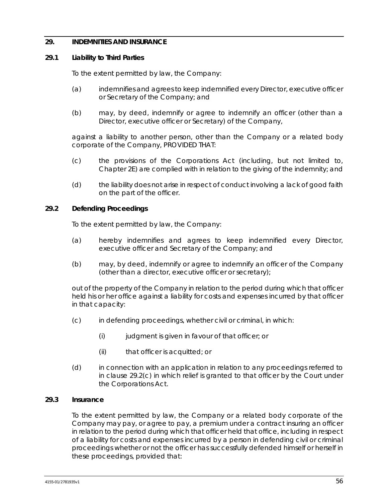# <span id="page-63-1"></span>**29. INDEMNITIES AND INSURANCE**

## **29.1 Liability to Third Parties**

To the extent permitted by law, the Company:

- (a) indemnifies and agrees to keep indemnified every Director, executive officer or Secretary of the Company; and
- (b) may, by deed, indemnify or agree to indemnify an officer (other than a Director, executive officer or Secretary) of the Company,

against a liability to another person, other than the Company or a related body corporate of the Company, PROVIDED THAT:

- (c) the provisions of the Corporations Act (including, but not limited to, Chapter 2E) are complied with in relation to the giving of the indemnity; and
- (d) the liability does not arise in respect of conduct involving a lack of good faith on the part of the officer.

## **29.2 Defending Proceedings**

To the extent permitted by law, the Company:

- (a) hereby indemnifies and agrees to keep indemnified every Director, executive officer and Secretary of the Company; and
- (b) may, by deed, indemnify or agree to indemnify an officer of the Company (other than a director, executive officer or secretary);

out of the property of the Company in relation to the period during which that officer held his or her office against a liability for costs and expenses incurred by that officer in that capacity:

- <span id="page-63-0"></span>(c) in defending proceedings, whether civil or criminal, in which:
	- $(i)$  judgment is given in favour of that officer; or
	- (ii) that officer is acquitted; or
- (d) in connection with an application in relation to any proceedings referred to in clause [29.2\(c\)](#page-63-0) in which relief is granted to that officer by the Court under the Corporations Act.

## **29.3 Insurance**

To the extent permitted by law, the Company or a related body corporate of the Company may pay, or agree to pay, a premium under a contract insuring an officer in relation to the period during which that officer held that office, including in respect of a liability for costs and expenses incurred by a person in defending civil or criminal proceedings whether or not the officer has successfully defended himself or herself in these proceedings, provided that: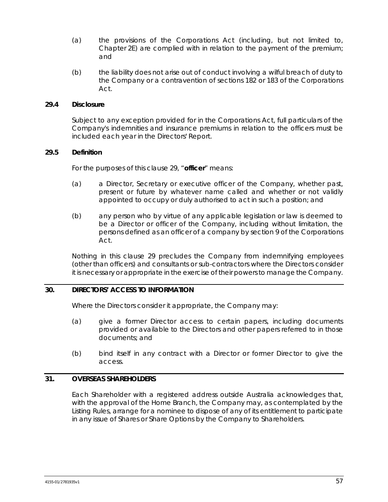- (a) the provisions of the Corporations Act (including, but not limited to, Chapter 2E) are complied with in relation to the payment of the premium; and
- (b) the liability does not arise out of conduct involving a wilful breach of duty to the Company or a contravention of sections 182 or 183 of the Corporations Act.

# **29.4 Disclosure**

Subject to any exception provided for in the Corporations Act, full particulars of the Company's indemnities and insurance premiums in relation to the officers must be included each year in the Directors' Report.

## **29.5 Definition**

For the purposes of this clause [29,](#page-63-1) "**officer**" means:

- (a) a Director, Secretary or executive officer of the Company, whether past, present or future by whatever name called and whether or not validly appointed to occupy or duly authorised to act in such a position; and
- (b) any person who by virtue of any applicable legislation or law is deemed to be a Director or officer of the Company, including without limitation, the persons defined as an officer of a company by section 9 of the Corporations Act.

Nothing in this clause [29](#page-63-1) precludes the Company from indemnifying employees (other than officers) and consultants or sub-contractors where the Directors consider it is necessary or appropriate in the exercise of their powers to manage the Company.

## **30. DIRECTORS' ACCESS TO INFORMATION**

Where the Directors consider it appropriate, the Company may:

- (a) give a former Director access to certain papers, including documents provided or available to the Directors and other papers referred to in those documents; and
- (b) bind itself in any contract with a Director or former Director to give the access.

## **31. OVERSEAS SHAREHOLDERS**

Each Shareholder with a registered address outside Australia acknowledges that, with the approval of the Home Branch, the Company may, as contemplated by the Listing Rules, arrange for a nominee to dispose of any of its entitlement to participate in any issue of Shares or Share Options by the Company to Shareholders.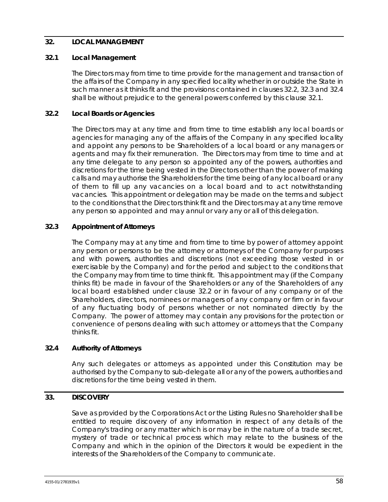# **32. LOCAL MANAGEMENT**

# <span id="page-65-3"></span>**32.1 Local Management**

The Directors may from time to time provide for the management and transaction of the affairs of the Company in any specified locality whether in or outside the State in such manner as it thinks fit and the provisions contained in clauses [32.2,](#page-65-0) [32.3](#page-65-1) an[d 32.4](#page-65-2) shall be without prejudice to the general powers conferred by this clause [32.1.](#page-65-3)

# <span id="page-65-0"></span>**32.2 Local Boards or Agencies**

The Directors may at any time and from time to time establish any local boards or agencies for managing any of the affairs of the Company in any specified locality and appoint any persons to be Shareholders of a local board or any managers or agents and may fix their remuneration. The Directors may from time to time and at any time delegate to any person so appointed any of the powers, authorities and discretions for the time being vested in the Directors other than the power of making calls and may authorise the Shareholders for the time being of any local board or any of them to fill up any vacancies on a local board and to act notwithstanding vacancies. This appointment or delegation may be made on the terms and subject to the conditions that the Directors think fit and the Directors may at any time remove any person so appointed and may annul or vary any or all of this delegation.

# <span id="page-65-1"></span>**32.3 Appointment of Attorneys**

The Company may at any time and from time to time by power of attorney appoint any person or persons to be the attorney or attorneys of the Company for purposes and with powers, authorities and discretions (not exceeding those vested in or exercisable by the Company) and for the period and subject to the conditions that the Company may from time to time think fit. This appointment may (if the Company thinks fit) be made in favour of the Shareholders or any of the Shareholders of any local board established under clause [32.2](#page-65-0) or in favour of any company or of the Shareholders, directors, nominees or managers of any company or firm or in favour of any fluctuating body of persons whether or not nominated directly by the Company. The power of attorney may contain any provisions for the protection or convenience of persons dealing with such attorney or attorneys that the Company thinks fit.

# <span id="page-65-2"></span>**32.4 Authority of Attorneys**

Any such delegates or attorneys as appointed under this Constitution may be authorised by the Company to sub-delegate all or any of the powers, authorities and discretions for the time being vested in them.

# **33. DISCOVERY**

Save as provided by the Corporations Act or the Listing Rules no Shareholder shall be entitled to require discovery of any information in respect of any details of the Company's trading or any matter which is or may be in the nature of a trade secret, mystery of trade or technical process which may relate to the business of the Company and which in the opinion of the Directors it would be expedient in the interests of the Shareholders of the Company to communicate.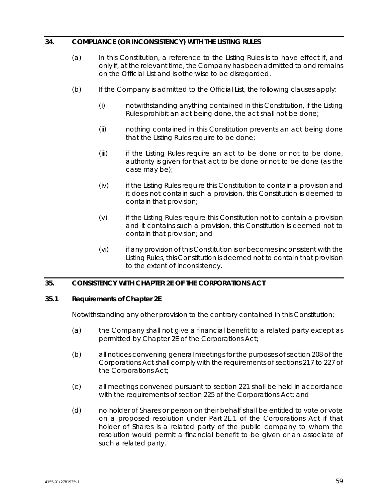## **34. COMPLIANCE (OR INCONSISTENCY) WITH THE LISTING RULES**

- (a) In this Constitution, a reference to the Listing Rules is to have effect if, and only if, at the relevant time, the Company has been admitted to and remains on the Official List and is otherwise to be disregarded.
- (b) If the Company is admitted to the Official List, the following clauses apply:
	- (i) notwithstanding anything contained in this Constitution, if the Listing Rules prohibit an act being done, the act shall not be done;
	- (ii) nothing contained in this Constitution prevents an act being done that the Listing Rules require to be done;
	- (iii) if the Listing Rules require an act to be done or not to be done, authority is given for that act to be done or not to be done (as the case may be);
	- (iv) if the Listing Rules require this Constitution to contain a provision and it does not contain such a provision, this Constitution is deemed to contain that provision;
	- (v) if the Listing Rules require this Constitution not to contain a provision and it contains such a provision, this Constitution is deemed not to contain that provision; and
	- (vi) if any provision of this Constitution is or becomes inconsistent with the Listing Rules, this Constitution is deemed not to contain that provision to the extent of inconsistency.

# <span id="page-66-0"></span>**35. CONSISTENCY WITH CHAPTER 2E OF THE CORPORATIONS ACT**

## **35.1 Requirements of Chapter 2E**

Notwithstanding any other provision to the contrary contained in this Constitution:

- (a) the Company shall not give a financial benefit to a related party except as permitted by Chapter 2E of the Corporations Act;
- (b) all notices convening general meetings for the purposes of section 208 of the Corporations Act shall comply with the requirements of sections 217 to 227 of the Corporations Act;
- (c) all meetings convened pursuant to section 221 shall be held in accordance with the requirements of section 225 of the Corporations Act; and
- (d) no holder of Shares or person on their behalf shall be entitled to vote or vote on a proposed resolution under Part 2E.1 of the Corporations Act if that holder of Shares is a related party of the public company to whom the resolution would permit a financial benefit to be given or an associate of such a related party.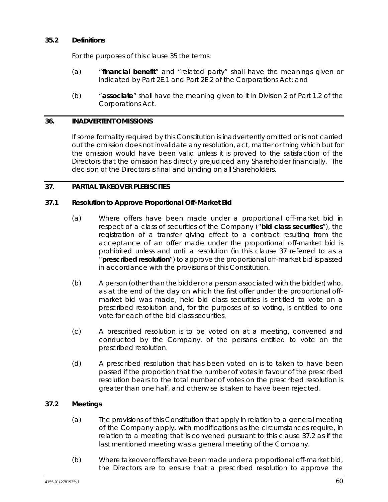## **35.2 Definitions**

For the purposes of this clause [35](#page-66-0) the terms:

- (a) "**financial benefit**" and "related party" shall have the meanings given or indicated by Part 2E.1 and Part 2E.2 of the Corporations Act; and
- (b) "**associate**" shall have the meaning given to it in Division 2 of Part 1.2 of the Corporations Act.

## **36. INADVERTENT OMISSIONS**

If some formality required by this Constitution is inadvertently omitted or is not carried out the omission does not invalidate any resolution, act, matter or thing which but for the omission would have been valid unless it is proved to the satisfaction of the Directors that the omission has directly prejudiced any Shareholder financially. The decision of the Directors is final and binding on all Shareholders.

# <span id="page-67-0"></span>**37. PARTIAL TAKEOVER PLEBISCITES**

## **37.1 Resolution to Approve Proportional Off-Market Bid**

- (a) Where offers have been made under a proportional off-market bid in respect of a class of securities of the Company ("**bid class securities**"), the registration of a transfer giving effect to a contract resulting from the acceptance of an offer made under the proportional off-market bid is prohibited unless and until a resolution (in this clause [37](#page-67-0) referred to as a "**prescribed resolution**") to approve the proportional off-market bid is passed in accordance with the provisions of this Constitution.
- (b) A person (other than the bidder or a person associated with the bidder) who, as at the end of the day on which the first offer under the proportional offmarket bid was made, held bid class securities is entitled to vote on a prescribed resolution and, for the purposes of so voting, is entitled to one vote for each of the bid class securities.
- (c) A prescribed resolution is to be voted on at a meeting, convened and conducted by the Company, of the persons entitled to vote on the prescribed resolution.
- (d) A prescribed resolution that has been voted on is to taken to have been passed if the proportion that the number of votes in favour of the prescribed resolution bears to the total number of votes on the prescribed resolution is greater than one half, and otherwise is taken to have been rejected.

# <span id="page-67-1"></span>**37.2 Meetings**

- (a) The provisions of this Constitution that apply in relation to a general meeting of the Company apply, with modifications as the circumstances require, in relation to a meeting that is convened pursuant to this clause [37.2](#page-67-1) as if the last mentioned meeting was a general meeting of the Company.
- (b) Where takeover offers have been made under a proportional off-market bid, the Directors are to ensure that a prescribed resolution to approve the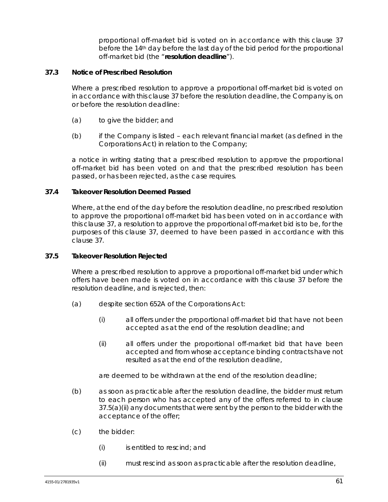proportional off-market bid is voted on in accordance with this clause [37](#page-67-0) before the 14th day before the last day of the bid period for the proportional off-market bid (the "**resolution deadline**").

## **37.3 Notice of Prescribed Resolution**

Where a prescribed resolution to approve a proportional off-market bid is voted on in accordance with this clause [37](#page-67-0) before the resolution deadline, the Company is, on or before the resolution deadline:

- (a) to give the bidder; and
- (b) if the Company is listed each relevant financial market (as defined in the Corporations Act) in relation to the Company;

a notice in writing stating that a prescribed resolution to approve the proportional off-market bid has been voted on and that the prescribed resolution has been passed, or has been rejected, as the case requires.

# **37.4 Takeover Resolution Deemed Passed**

Where, at the end of the day before the resolution deadline, no prescribed resolution to approve the proportional off-market bid has been voted on in accordance with this clause [37,](#page-67-0) a resolution to approve the proportional off-market bid is to be, for the purposes of this clause [37,](#page-67-0) deemed to have been passed in accordance with this clause [37.](#page-67-0)

# **37.5 Takeover Resolution Rejected**

Where a prescribed resolution to approve a proportional off-market bid under which offers have been made is voted on in accordance with this clause [37](#page-67-0) before the resolution deadline, and is rejected, then:

- <span id="page-68-0"></span>(a) despite section 652A of the Corporations Act:
	- (i) all offers under the proportional off-market bid that have not been accepted as at the end of the resolution deadline; and
	- (ii) all offers under the proportional off-market bid that have been accepted and from whose acceptance binding contracts have not resulted as at the end of the resolution deadline,

are deemed to be withdrawn at the end of the resolution deadline;

- (b) as soon as practicable after the resolution deadline, the bidder must return to each person who has accepted any of the offers referred to in clause [37.5\(a\)\(ii\)](#page-68-0) any documents that were sent by the person to the bidder with the acceptance of the offer;
- (c) the bidder:
	- (i) is entitled to rescind; and
	- (ii) must rescind as soon as practicable after the resolution deadline,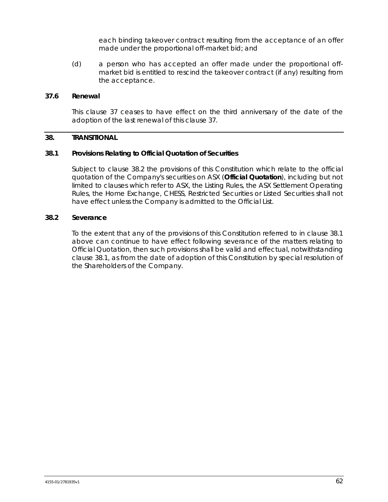each binding takeover contract resulting from the acceptance of an offer made under the proportional off-market bid; and

(d) a person who has accepted an offer made under the proportional offmarket bid is entitled to rescind the takeover contract (if any) resulting from the acceptance.

## **37.6 Renewal**

This clause [37](#page-67-0) ceases to have effect on the third anniversary of the date of the adoption of the last renewal of this claus[e 37.](#page-67-0)

# **38. TRANSITIONAL**

#### <span id="page-69-1"></span>**38.1 Provisions Relating to Official Quotation of Securities**

Subject to clause [38.2](#page-69-0) the provisions of this Constitution which relate to the official quotation of the Company's securities on ASX (**Official Quotation**), including but not limited to clauses which refer to ASX, the Listing Rules, the ASX Settlement Operating Rules, the Home Exchange, CHESS, Restricted Securities or Listed Securities shall not have effect unless the Company is admitted to the Official List.

## <span id="page-69-0"></span>**38.2 Severance**

To the extent that any of the provisions of this Constitution referred to in clause [38.1](#page-69-1) above can continue to have effect following severance of the matters relating to Official Quotation, then such provisions shall be valid and effectual, notwithstanding clause [38.1,](#page-69-1) as from the date of adoption of this Constitution by special resolution of the Shareholders of the Company.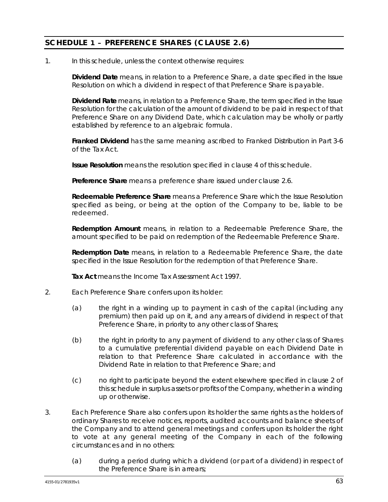# **SCHEDULE 1 – PREFERENCE SHARES (CLAUSE [2.6\)](#page-13-0)**

## 1. In this schedule, unless the context otherwise requires:

**Dividend Date** means, in relation to a Preference Share, a date specified in the Issue Resolution on which a dividend in respect of that Preference Share is payable.

**Dividend Rate** means, in relation to a Preference Share, the term specified in the Issue Resolution for the calculation of the amount of dividend to be paid in respect of that Preference Share on any Dividend Date, which calculation may be wholly or partly established by reference to an algebraic formula.

**Franked Dividend** has the same meaning ascribed to Franked Distribution in Part 3-6 of the Tax Act.

**Issue Resolution** means the resolution specified in clause [4](#page-71-0) of this schedule.

**Preference Share** means a preference share issued under clause [2.6.](#page-13-0)

**Redeemable Preference Share** means a Preference Share which the Issue Resolution specified as being, or being at the option of the Company to be, liable to be redeemed.

**Redemption Amount** means, in relation to a Redeemable Preference Share, the amount specified to be paid on redemption of the Redeemable Preference Share.

**Redemption Date** means, in relation to a Redeemable Preference Share, the date specified in the Issue Resolution for the redemption of that Preference Share.

**Tax Act** means the *Income Tax Assessment Act 1997*.

- <span id="page-70-0"></span>2. Each Preference Share confers upon its holder:
	- (a) the right in a winding up to payment in cash of the capital (including any premium) then paid up on it, and any arrears of dividend in respect of that Preference Share, in priority to any other class of Shares;
	- (b) the right in priority to any payment of dividend to any other class of Shares to a cumulative preferential dividend payable on each Dividend Date in relation to that Preference Share calculated in accordance with the Dividend Rate in relation to that Preference Share; and
	- (c) no right to participate beyond the extent elsewhere specified in clause [2](#page-70-0) of this schedule in surplus assets or profits of the Company, whether in a winding up or otherwise.
- 3. Each Preference Share also confers upon its holder the same rights as the holders of ordinary Shares to receive notices, reports, audited accounts and balance sheets of the Company and to attend general meetings and confers upon its holder the right to vote at any general meeting of the Company in each of the following circumstances and in no others:
	- (a) during a period during which a dividend (or part of a dividend) in respect of the Preference Share is in arrears;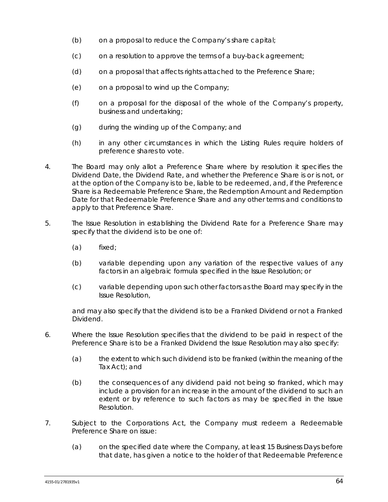- (b) on a proposal to reduce the Company's share capital;
- (c) on a resolution to approve the terms of a buy-back agreement;
- (d) on a proposal that affects rights attached to the Preference Share;
- (e) on a proposal to wind up the Company;
- (f) on a proposal for the disposal of the whole of the Company's property, business and undertaking;
- (g) during the winding up of the Company; and
- (h) in any other circumstances in which the Listing Rules require holders of preference shares to vote.
- <span id="page-71-0"></span>4. The Board may only allot a Preference Share where by resolution it specifies the Dividend Date, the Dividend Rate, and whether the Preference Share is or is not, or at the option of the Company is to be, liable to be redeemed, and, if the Preference Share is a Redeemable Preference Share, the Redemption Amount and Redemption Date for that Redeemable Preference Share and any other terms and conditions to apply to that Preference Share.
- 5. The Issue Resolution in establishing the Dividend Rate for a Preference Share may specify that the dividend is to be one of:
	- (a) fixed;
	- (b) variable depending upon any variation of the respective values of any factors in an algebraic formula specified in the Issue Resolution; or
	- (c) variable depending upon such other factors as the Board may specify in the Issue Resolution,

and may also specify that the dividend is to be a Franked Dividend or not a Franked Dividend.

- 6. Where the Issue Resolution specifies that the dividend to be paid in respect of the Preference Share is to be a Franked Dividend the Issue Resolution may also specify:
	- (a) the extent to which such dividend is to be franked (within the meaning of the Tax Act); and
	- (b) the consequences of any dividend paid not being so franked, which may include a provision for an increase in the amount of the dividend to such an extent or by reference to such factors as may be specified in the Issue Resolution.
- 7. Subject to the Corporations Act, the Company must redeem a Redeemable Preference Share on issue:
	- (a) on the specified date where the Company, at least 15 Business Days before that date, has given a notice to the holder of that Redeemable Preference